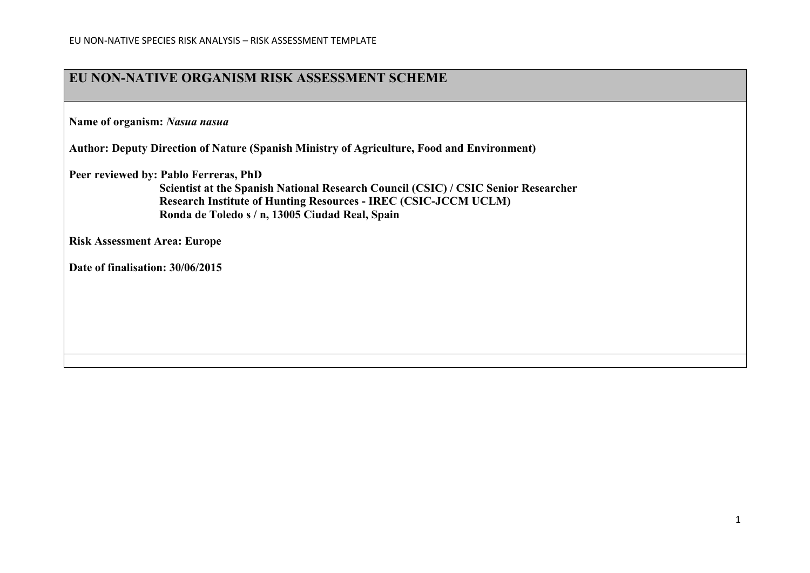### **EU NON-NATIVE ORGANISM RISK ASSESSMENT SCHEME**

**Name of organism:** *Nasua nasua*

**Author: Deputy Direction of Nature (Spanish Ministry of Agriculture, Food and Environment)**

**Peer reviewed by: Pablo Ferreras, PhD**

**Scientist at the Spanish National Research Council (CSIC) / CSIC Senior Researcher Research Institute of Hunting Resources - IREC (CSIC-JCCM UCLM) Ronda de Toledo s / n, 13005 Ciudad Real, Spain**

**Risk Assessment Area: Europe**

**Date of finalisation: 30/06/2015**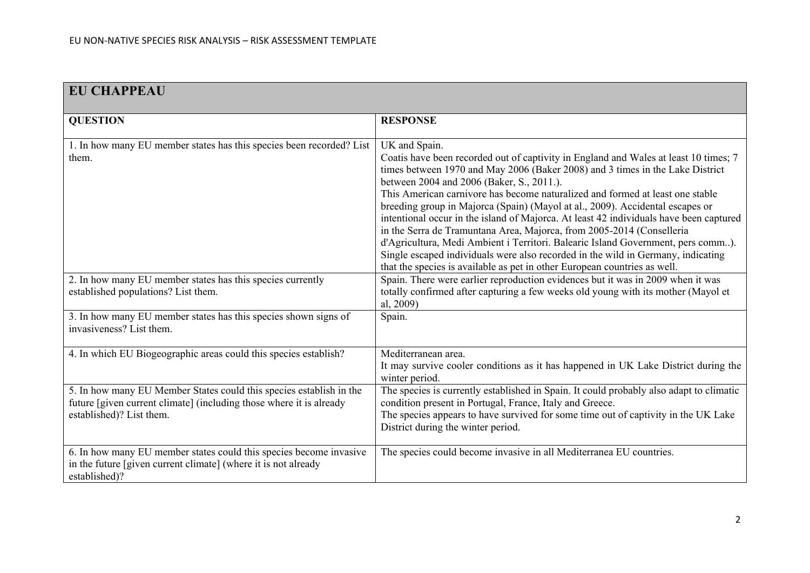| <b>EU CHAPPEAU</b>                                                                                                                                                     |                                                                                                                                                                                                                                                                                                                                                                                                                                                                                                                                                                                                                                                                                                                                                                                                                               |
|------------------------------------------------------------------------------------------------------------------------------------------------------------------------|-------------------------------------------------------------------------------------------------------------------------------------------------------------------------------------------------------------------------------------------------------------------------------------------------------------------------------------------------------------------------------------------------------------------------------------------------------------------------------------------------------------------------------------------------------------------------------------------------------------------------------------------------------------------------------------------------------------------------------------------------------------------------------------------------------------------------------|
| <b>QUESTION</b>                                                                                                                                                        | <b>RESPONSE</b>                                                                                                                                                                                                                                                                                                                                                                                                                                                                                                                                                                                                                                                                                                                                                                                                               |
| 1. In how many EU member states has this species been recorded? List<br>them.                                                                                          | UK and Spain.<br>Coatis have been recorded out of captivity in England and Wales at least 10 times; 7<br>times between 1970 and May 2006 (Baker 2008) and 3 times in the Lake District<br>between 2004 and 2006 (Baker, S., 2011.).<br>This American carnivore has become naturalized and formed at least one stable<br>breeding group in Majorca (Spain) (Mayol at al., 2009). Accidental escapes or<br>intentional occur in the island of Majorca. At least 42 individuals have been captured<br>in the Serra de Tramuntana Area, Majorca, from 2005-2014 (Conselleria<br>d'Agricultura, Medi Ambient i Territori. Balearic Island Government, pers comm).<br>Single escaped individuals were also recorded in the wild in Germany, indicating<br>that the species is available as pet in other European countries as well. |
| 2. In how many EU member states has this species currently<br>established populations? List them.                                                                      | Spain. There were earlier reproduction evidences but it was in 2009 when it was<br>totally confirmed after capturing a few weeks old young with its mother (Mayol et<br>al, 2009)                                                                                                                                                                                                                                                                                                                                                                                                                                                                                                                                                                                                                                             |
| 3. In how many EU member states has this species shown signs of<br>invasiveness? List them.                                                                            | Spain.                                                                                                                                                                                                                                                                                                                                                                                                                                                                                                                                                                                                                                                                                                                                                                                                                        |
| 4. In which EU Biogeographic areas could this species establish?                                                                                                       | Mediterranean area.<br>It may survive cooler conditions as it has happened in UK Lake District during the<br>winter period.                                                                                                                                                                                                                                                                                                                                                                                                                                                                                                                                                                                                                                                                                                   |
| 5. In how many EU Member States could this species establish in the<br>future [given current climate] (including those where it is already<br>established)? List them. | The species is currently established in Spain. It could probably also adapt to climatic<br>condition present in Portugal, France, Italy and Greece.<br>The species appears to have survived for some time out of captivity in the UK Lake<br>District during the winter period.                                                                                                                                                                                                                                                                                                                                                                                                                                                                                                                                               |
| 6. In how many EU member states could this species become invasive<br>in the future [given current climate] (where it is not already<br>established)?                  | The species could become invasive in all Mediterranea EU countries.                                                                                                                                                                                                                                                                                                                                                                                                                                                                                                                                                                                                                                                                                                                                                           |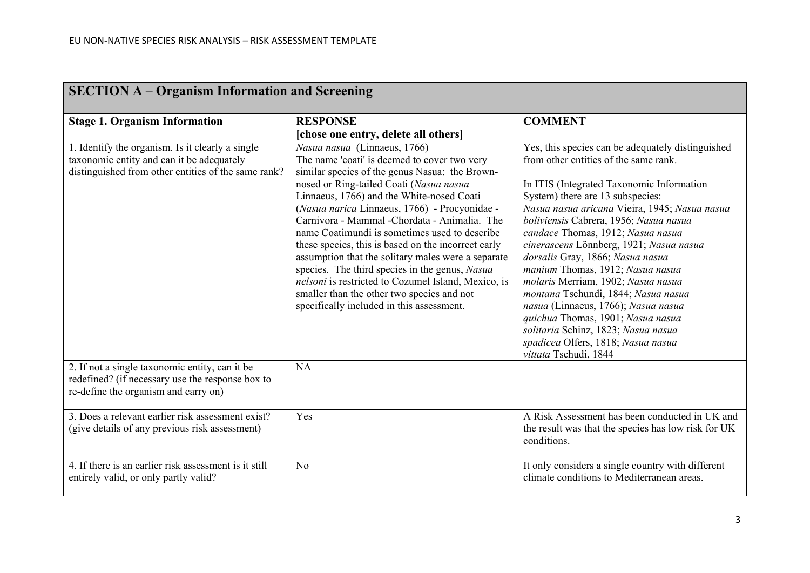| <b>SECTION A – Organism Information and Screening</b>                                                                                                                                                  |                                                                                                                                                                                                                                                                                                                                                                                                                                                                                                                                                                                                                                                                                                         |                                                                                                                                                                                                                                                                                                                                                                                                                                                                                                                                                                                                                                                                                               |
|--------------------------------------------------------------------------------------------------------------------------------------------------------------------------------------------------------|---------------------------------------------------------------------------------------------------------------------------------------------------------------------------------------------------------------------------------------------------------------------------------------------------------------------------------------------------------------------------------------------------------------------------------------------------------------------------------------------------------------------------------------------------------------------------------------------------------------------------------------------------------------------------------------------------------|-----------------------------------------------------------------------------------------------------------------------------------------------------------------------------------------------------------------------------------------------------------------------------------------------------------------------------------------------------------------------------------------------------------------------------------------------------------------------------------------------------------------------------------------------------------------------------------------------------------------------------------------------------------------------------------------------|
| <b>Stage 1. Organism Information</b>                                                                                                                                                                   | <b>RESPONSE</b>                                                                                                                                                                                                                                                                                                                                                                                                                                                                                                                                                                                                                                                                                         | <b>COMMENT</b>                                                                                                                                                                                                                                                                                                                                                                                                                                                                                                                                                                                                                                                                                |
|                                                                                                                                                                                                        | [chose one entry, delete all others]                                                                                                                                                                                                                                                                                                                                                                                                                                                                                                                                                                                                                                                                    |                                                                                                                                                                                                                                                                                                                                                                                                                                                                                                                                                                                                                                                                                               |
| 1. Identify the organism. Is it clearly a single<br>taxonomic entity and can it be adequately<br>distinguished from other entities of the same rank?<br>2. If not a single taxonomic entity, can it be | Nasua nasua (Linnaeus, 1766)<br>The name 'coati' is deemed to cover two very<br>similar species of the genus Nasua: the Brown-<br>nosed or Ring-tailed Coati (Nasua nasua<br>Linnaeus, 1766) and the White-nosed Coati<br>(Nasua narica Linnaeus, 1766) - Procyonidae -<br>Carnivora - Mammal - Chordata - Animalia. The<br>name Coatimundi is sometimes used to describe<br>these species, this is based on the incorrect early<br>assumption that the solitary males were a separate<br>species. The third species in the genus, Nasua<br>nelsoni is restricted to Cozumel Island, Mexico, is<br>smaller than the other two species and not<br>specifically included in this assessment.<br><b>NA</b> | Yes, this species can be adequately distinguished<br>from other entities of the same rank.<br>In ITIS (Integrated Taxonomic Information<br>System) there are 13 subspecies:<br>Nasua nasua aricana Vieira, 1945; Nasua nasua<br>boliviensis Cabrera, 1956; Nasua nasua<br>candace Thomas, 1912; Nasua nasua<br>cinerascens Lönnberg, 1921; Nasua nasua<br>dorsalis Gray, 1866; Nasua nasua<br>manium Thomas, 1912; Nasua nasua<br>molaris Merriam, 1902; Nasua nasua<br>montana Tschundi, 1844; Nasua nasua<br>nasua (Linnaeus, 1766); Nasua nasua<br>quichua Thomas, 1901; Nasua nasua<br>solitaria Schinz, 1823; Nasua nasua<br>spadicea Olfers, 1818; Nasua nasua<br>vittata Tschudi, 1844 |
| redefined? (if necessary use the response box to<br>re-define the organism and carry on)                                                                                                               |                                                                                                                                                                                                                                                                                                                                                                                                                                                                                                                                                                                                                                                                                                         |                                                                                                                                                                                                                                                                                                                                                                                                                                                                                                                                                                                                                                                                                               |
| 3. Does a relevant earlier risk assessment exist?<br>(give details of any previous risk assessment)                                                                                                    | Yes                                                                                                                                                                                                                                                                                                                                                                                                                                                                                                                                                                                                                                                                                                     | A Risk Assessment has been conducted in UK and<br>the result was that the species has low risk for UK<br>conditions.                                                                                                                                                                                                                                                                                                                                                                                                                                                                                                                                                                          |
| 4. If there is an earlier risk assessment is it still<br>entirely valid, or only partly valid?                                                                                                         | N <sub>o</sub>                                                                                                                                                                                                                                                                                                                                                                                                                                                                                                                                                                                                                                                                                          | It only considers a single country with different<br>climate conditions to Mediterranean areas.                                                                                                                                                                                                                                                                                                                                                                                                                                                                                                                                                                                               |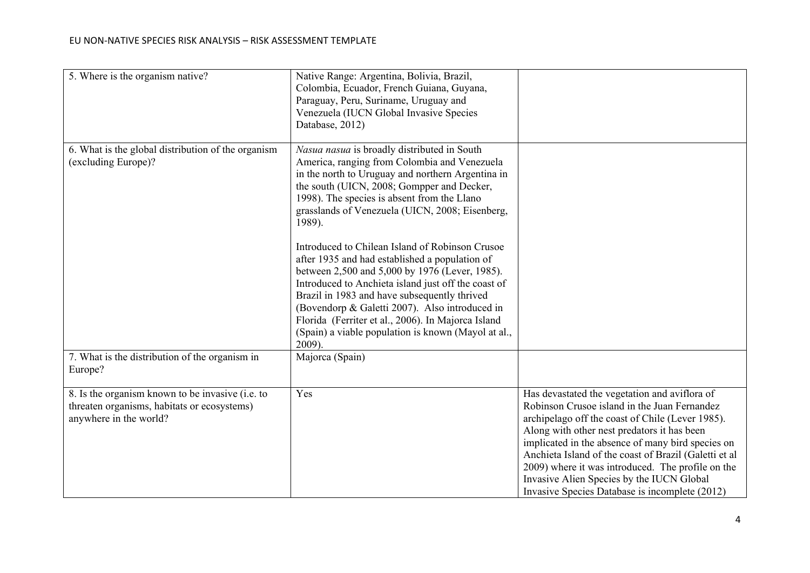| 5. Where is the organism native?                                                                                          | Native Range: Argentina, Bolivia, Brazil,<br>Colombia, Ecuador, French Guiana, Guyana,<br>Paraguay, Peru, Suriname, Uruguay and<br>Venezuela (IUCN Global Invasive Species<br>Database, 2012)                                                                                                                                                                                                                                                                                                                                                                                                                                                                                                                                                        |                                                                                                                                                                                                                                                                                                                                                                                                                                                                    |
|---------------------------------------------------------------------------------------------------------------------------|------------------------------------------------------------------------------------------------------------------------------------------------------------------------------------------------------------------------------------------------------------------------------------------------------------------------------------------------------------------------------------------------------------------------------------------------------------------------------------------------------------------------------------------------------------------------------------------------------------------------------------------------------------------------------------------------------------------------------------------------------|--------------------------------------------------------------------------------------------------------------------------------------------------------------------------------------------------------------------------------------------------------------------------------------------------------------------------------------------------------------------------------------------------------------------------------------------------------------------|
| 6. What is the global distribution of the organism<br>(excluding Europe)?                                                 | Nasua nasua is broadly distributed in South<br>America, ranging from Colombia and Venezuela<br>in the north to Uruguay and northern Argentina in<br>the south (UICN, 2008; Gompper and Decker,<br>1998). The species is absent from the Llano<br>grasslands of Venezuela (UICN, 2008; Eisenberg,<br>1989).<br>Introduced to Chilean Island of Robinson Crusoe<br>after 1935 and had established a population of<br>between 2,500 and 5,000 by 1976 (Lever, 1985).<br>Introduced to Anchieta island just off the coast of<br>Brazil in 1983 and have subsequently thrived<br>(Bovendorp & Galetti 2007). Also introduced in<br>Florida (Ferriter et al., 2006). In Majorca Island<br>(Spain) a viable population is known (Mayol at al.,<br>$2009$ ). |                                                                                                                                                                                                                                                                                                                                                                                                                                                                    |
| 7. What is the distribution of the organism in<br>Europe?                                                                 | Majorca (Spain)                                                                                                                                                                                                                                                                                                                                                                                                                                                                                                                                                                                                                                                                                                                                      |                                                                                                                                                                                                                                                                                                                                                                                                                                                                    |
| 8. Is the organism known to be invasive (i.e. to<br>threaten organisms, habitats or ecosystems)<br>anywhere in the world? | Yes                                                                                                                                                                                                                                                                                                                                                                                                                                                                                                                                                                                                                                                                                                                                                  | Has devastated the vegetation and aviflora of<br>Robinson Crusoe island in the Juan Fernandez<br>archipelago off the coast of Chile (Lever 1985).<br>Along with other nest predators it has been<br>implicated in the absence of many bird species on<br>Anchieta Island of the coast of Brazil (Galetti et al<br>2009) where it was introduced. The profile on the<br>Invasive Alien Species by the IUCN Global<br>Invasive Species Database is incomplete (2012) |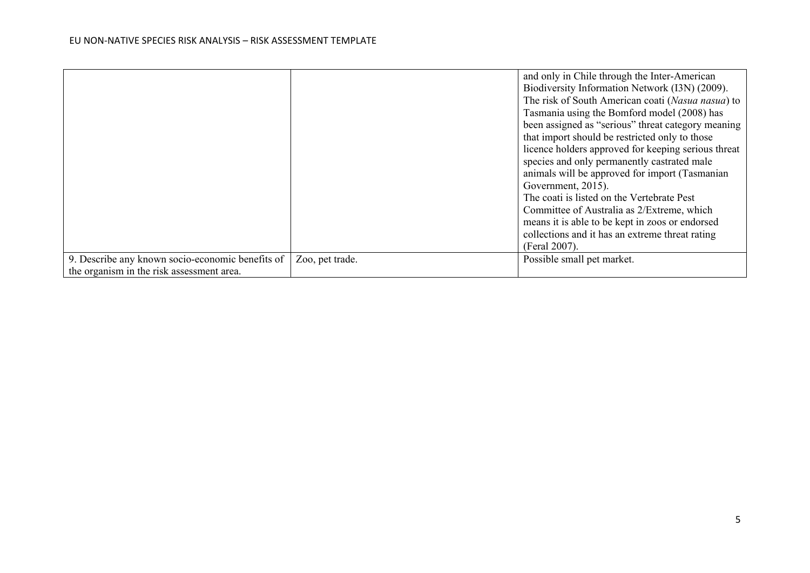|                                                  |                 | and only in Chile through the Inter-American        |
|--------------------------------------------------|-----------------|-----------------------------------------------------|
|                                                  |                 | Biodiversity Information Network (I3N) (2009).      |
|                                                  |                 | The risk of South American coati (Nasua nasua) to   |
|                                                  |                 | Tasmania using the Bomford model (2008) has         |
|                                                  |                 | been assigned as "serious" threat category meaning  |
|                                                  |                 | that import should be restricted only to those      |
|                                                  |                 | licence holders approved for keeping serious threat |
|                                                  |                 | species and only permanently castrated male         |
|                                                  |                 | animals will be approved for import (Tasmanian      |
|                                                  |                 | Government, 2015).                                  |
|                                                  |                 | The coati is listed on the Vertebrate Pest          |
|                                                  |                 | Committee of Australia as 2/Extreme, which          |
|                                                  |                 | means it is able to be kept in zoos or endorsed     |
|                                                  |                 | collections and it has an extreme threat rating     |
|                                                  |                 | (Feral 2007).                                       |
| 9. Describe any known socio-economic benefits of | Zoo, pet trade. | Possible small pet market.                          |
| the organism in the risk assessment area.        |                 |                                                     |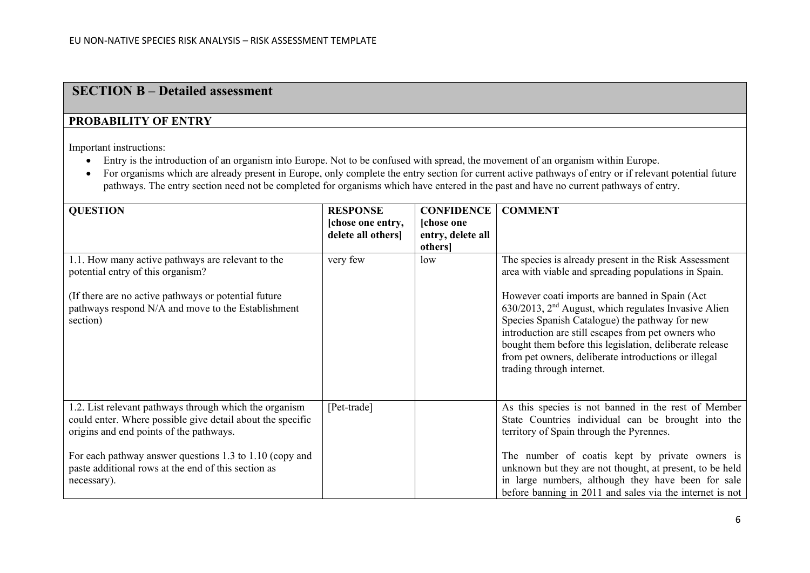## **SECTION B – Detailed assessment**

### **PROBABILITY OF ENTRY**

Important instructions:

- Entry is the introduction of an organism into Europe. Not to be confused with spread, the movement of an organism within Europe.
- For organisms which are already present in Europe, only complete the entry section for current active pathways of entry or if relevant potential future pathways. The entry section need not be completed for organisms which have entered in the past and have no current pathways of entry.

| <b>QUESTION</b>                                                                                                                                                                                                                                                                                  | <b>RESPONSE</b>   | <b>CONFIDENCE</b> | <b>COMMENT</b>                                                                                                                                                                                                                                                                                                                                                                        |
|--------------------------------------------------------------------------------------------------------------------------------------------------------------------------------------------------------------------------------------------------------------------------------------------------|-------------------|-------------------|---------------------------------------------------------------------------------------------------------------------------------------------------------------------------------------------------------------------------------------------------------------------------------------------------------------------------------------------------------------------------------------|
|                                                                                                                                                                                                                                                                                                  | [chose one entry, | [chose one        |                                                                                                                                                                                                                                                                                                                                                                                       |
|                                                                                                                                                                                                                                                                                                  | delete all others | entry, delete all |                                                                                                                                                                                                                                                                                                                                                                                       |
|                                                                                                                                                                                                                                                                                                  |                   | others]           |                                                                                                                                                                                                                                                                                                                                                                                       |
| 1.1. How many active pathways are relevant to the<br>potential entry of this organism?                                                                                                                                                                                                           | very few          | low               | The species is already present in the Risk Assessment<br>area with viable and spreading populations in Spain.                                                                                                                                                                                                                                                                         |
| (If there are no active pathways or potential future<br>pathways respond N/A and move to the Establishment<br>section)                                                                                                                                                                           |                   |                   | However coati imports are banned in Spain (Act<br>$630/2013$ , $2nd$ August, which regulates Invasive Alien<br>Species Spanish Catalogue) the pathway for new<br>introduction are still escapes from pet owners who<br>bought them before this legislation, deliberate release<br>from pet owners, deliberate introductions or illegal<br>trading through internet.                   |
| 1.2. List relevant pathways through which the organism<br>could enter. Where possible give detail about the specific<br>origins and end points of the pathways.<br>For each pathway answer questions 1.3 to 1.10 (copy and<br>paste additional rows at the end of this section as<br>necessary). | [Pet-trade]       |                   | As this species is not banned in the rest of Member<br>State Countries individual can be brought into the<br>territory of Spain through the Pyrennes.<br>The number of coatis kept by private owners is<br>unknown but they are not thought, at present, to be held<br>in large numbers, although they have been for sale<br>before banning in 2011 and sales via the internet is not |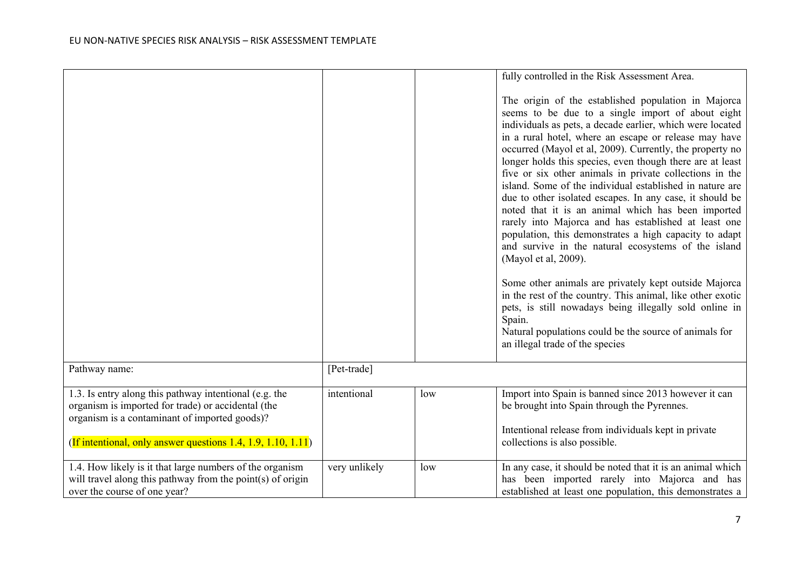|                                                                                                                                                                                                                               |               |     | fully controlled in the Risk Assessment Area.                                                                                                                                                                                                                                                                                                                                                                                                                                                                                                                                                                                                                                                                                                                                                                                                                                                                                                                                                                                                                                             |
|-------------------------------------------------------------------------------------------------------------------------------------------------------------------------------------------------------------------------------|---------------|-----|-------------------------------------------------------------------------------------------------------------------------------------------------------------------------------------------------------------------------------------------------------------------------------------------------------------------------------------------------------------------------------------------------------------------------------------------------------------------------------------------------------------------------------------------------------------------------------------------------------------------------------------------------------------------------------------------------------------------------------------------------------------------------------------------------------------------------------------------------------------------------------------------------------------------------------------------------------------------------------------------------------------------------------------------------------------------------------------------|
|                                                                                                                                                                                                                               |               |     | The origin of the established population in Majorca<br>seems to be due to a single import of about eight<br>individuals as pets, a decade earlier, which were located<br>in a rural hotel, where an escape or release may have<br>occurred (Mayol et al, 2009). Currently, the property no<br>longer holds this species, even though there are at least<br>five or six other animals in private collections in the<br>island. Some of the individual established in nature are<br>due to other isolated escapes. In any case, it should be<br>noted that it is an animal which has been imported<br>rarely into Majorca and has established at least one<br>population, this demonstrates a high capacity to adapt<br>and survive in the natural ecosystems of the island<br>(Mayol et al, 2009).<br>Some other animals are privately kept outside Majorca<br>in the rest of the country. This animal, like other exotic<br>pets, is still nowadays being illegally sold online in<br>Spain.<br>Natural populations could be the source of animals for<br>an illegal trade of the species |
| Pathway name:                                                                                                                                                                                                                 | [Pet-trade]   |     |                                                                                                                                                                                                                                                                                                                                                                                                                                                                                                                                                                                                                                                                                                                                                                                                                                                                                                                                                                                                                                                                                           |
|                                                                                                                                                                                                                               |               |     |                                                                                                                                                                                                                                                                                                                                                                                                                                                                                                                                                                                                                                                                                                                                                                                                                                                                                                                                                                                                                                                                                           |
| 1.3. Is entry along this pathway intentional (e.g. the<br>organism is imported for trade) or accidental (the<br>organism is a contaminant of imported goods)?<br>(If intentional, only answer questions 1.4, 1.9, 1.10, 1.11) | intentional   | low | Import into Spain is banned since 2013 however it can<br>be brought into Spain through the Pyrennes.<br>Intentional release from individuals kept in private<br>collections is also possible.                                                                                                                                                                                                                                                                                                                                                                                                                                                                                                                                                                                                                                                                                                                                                                                                                                                                                             |
|                                                                                                                                                                                                                               |               |     |                                                                                                                                                                                                                                                                                                                                                                                                                                                                                                                                                                                                                                                                                                                                                                                                                                                                                                                                                                                                                                                                                           |
| 1.4. How likely is it that large numbers of the organism<br>will travel along this pathway from the point $(s)$ of origin<br>over the course of one year?                                                                     | very unlikely | low | In any case, it should be noted that it is an animal which<br>has been imported rarely into Majorca and has<br>established at least one population, this demonstrates a                                                                                                                                                                                                                                                                                                                                                                                                                                                                                                                                                                                                                                                                                                                                                                                                                                                                                                                   |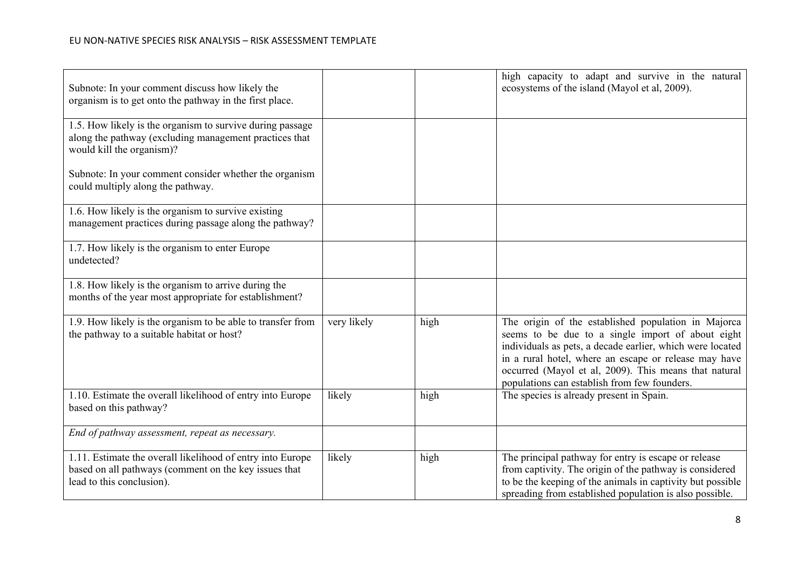| Subnote: In your comment discuss how likely the<br>organism is to get onto the pathway in the first place.                                       |             |      | high capacity to adapt and survive in the natural<br>ecosystems of the island (Mayol et al, 2009).                                                                                                                                                                                                                                      |
|--------------------------------------------------------------------------------------------------------------------------------------------------|-------------|------|-----------------------------------------------------------------------------------------------------------------------------------------------------------------------------------------------------------------------------------------------------------------------------------------------------------------------------------------|
| 1.5. How likely is the organism to survive during passage<br>along the pathway (excluding management practices that<br>would kill the organism)? |             |      |                                                                                                                                                                                                                                                                                                                                         |
| Subnote: In your comment consider whether the organism<br>could multiply along the pathway.                                                      |             |      |                                                                                                                                                                                                                                                                                                                                         |
| 1.6. How likely is the organism to survive existing<br>management practices during passage along the pathway?                                    |             |      |                                                                                                                                                                                                                                                                                                                                         |
| 1.7. How likely is the organism to enter Europe<br>undetected?                                                                                   |             |      |                                                                                                                                                                                                                                                                                                                                         |
| 1.8. How likely is the organism to arrive during the<br>months of the year most appropriate for establishment?                                   |             |      |                                                                                                                                                                                                                                                                                                                                         |
| 1.9. How likely is the organism to be able to transfer from<br>the pathway to a suitable habitat or host?                                        | very likely | high | The origin of the established population in Majorca<br>seems to be due to a single import of about eight<br>individuals as pets, a decade earlier, which were located<br>in a rural hotel, where an escape or release may have<br>occurred (Mayol et al, 2009). This means that natural<br>populations can establish from few founders. |
| 1.10. Estimate the overall likelihood of entry into Europe<br>based on this pathway?                                                             | likely      | high | The species is already present in Spain.                                                                                                                                                                                                                                                                                                |
| End of pathway assessment, repeat as necessary.                                                                                                  |             |      |                                                                                                                                                                                                                                                                                                                                         |
| 1.11. Estimate the overall likelihood of entry into Europe<br>based on all pathways (comment on the key issues that<br>lead to this conclusion). | likely      | high | The principal pathway for entry is escape or release<br>from captivity. The origin of the pathway is considered<br>to be the keeping of the animals in captivity but possible<br>spreading from established population is also possible.                                                                                                |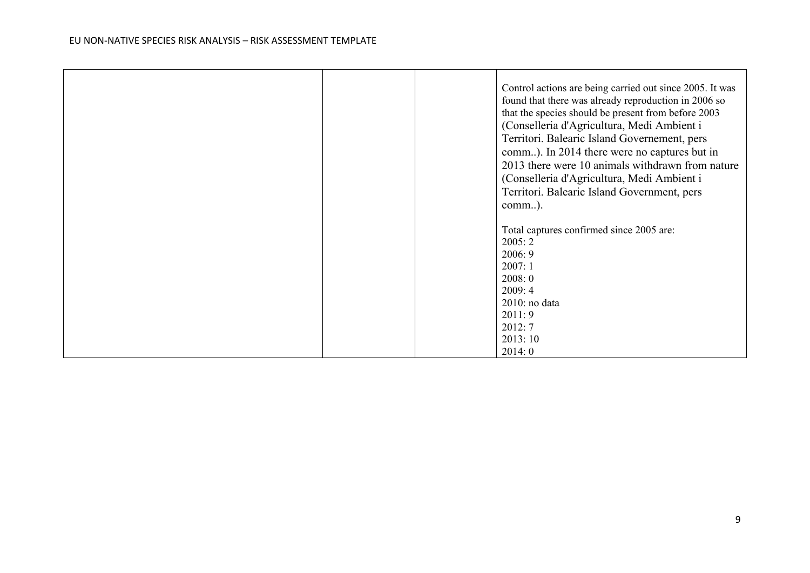$\blacksquare$ 

|  | Control actions are being carried out since 2005. It was<br>found that there was already reproduction in 2006 so<br>that the species should be present from before 2003<br>(Conselleria d'Agricultura, Medi Ambient i<br>Territori. Balearic Island Governement, pers<br>comm). In 2014 there were no captures but in<br>2013 there were 10 animals withdrawn from nature<br>(Conselleria d'Agricultura, Medi Ambient i<br>Territori. Balearic Island Government, pers<br>comm). |
|--|----------------------------------------------------------------------------------------------------------------------------------------------------------------------------------------------------------------------------------------------------------------------------------------------------------------------------------------------------------------------------------------------------------------------------------------------------------------------------------|
|  | Total captures confirmed since 2005 are:<br>2005:2<br>2006: 9<br>2007:1<br>2008:0<br>2009:4<br>$2010$ : no data<br>2011:9<br>2012:7<br>2013:10<br>2014:0                                                                                                                                                                                                                                                                                                                         |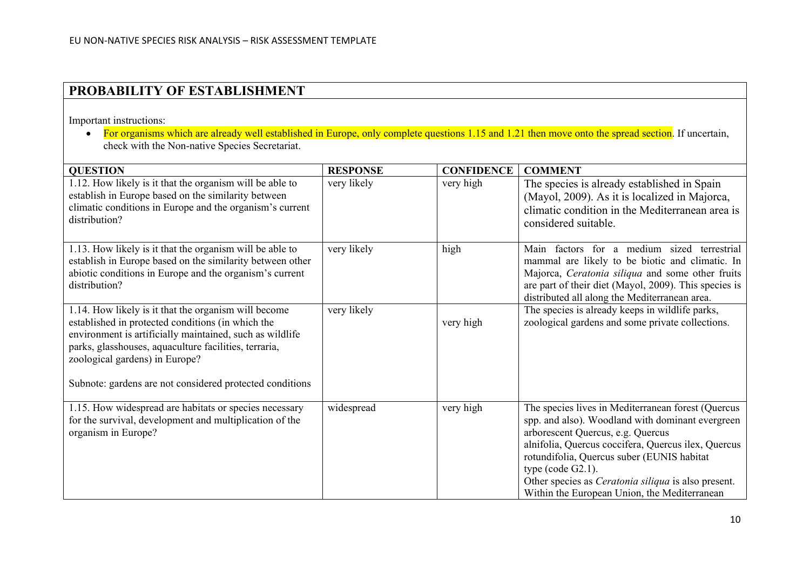## **PROBABILITY OF ESTABLISHMENT**

Important instructions:

• For organisms which are already well established in Europe, only complete questions 1.15 and 1.21 then move onto the spread section. If uncertain, check with the Non-native Species Secretariat.

| <b>QUESTION</b>                                                                                                                                                                                                                                                                                                              | <b>RESPONSE</b> | <b>CONFIDENCE</b> | <b>COMMENT</b>                                                                                                                                                                                                                                                                                                                                                                         |
|------------------------------------------------------------------------------------------------------------------------------------------------------------------------------------------------------------------------------------------------------------------------------------------------------------------------------|-----------------|-------------------|----------------------------------------------------------------------------------------------------------------------------------------------------------------------------------------------------------------------------------------------------------------------------------------------------------------------------------------------------------------------------------------|
| 1.12. How likely is it that the organism will be able to<br>establish in Europe based on the similarity between<br>climatic conditions in Europe and the organism's current<br>distribution?                                                                                                                                 | very likely     | very high         | The species is already established in Spain<br>(Mayol, 2009). As it is localized in Majorca,<br>climatic condition in the Mediterranean area is<br>considered suitable.                                                                                                                                                                                                                |
| 1.13. How likely is it that the organism will be able to<br>establish in Europe based on the similarity between other<br>abiotic conditions in Europe and the organism's current<br>distribution?                                                                                                                            | very likely     | high              | Main factors for a medium sized terrestrial<br>mammal are likely to be biotic and climatic. In<br>Majorca, Ceratonia siliqua and some other fruits<br>are part of their diet (Mayol, 2009). This species is<br>distributed all along the Mediterranean area.                                                                                                                           |
| 1.14. How likely is it that the organism will become<br>established in protected conditions (in which the<br>environment is artificially maintained, such as wildlife<br>parks, glasshouses, aquaculture facilities, terraria,<br>zoological gardens) in Europe?<br>Subnote: gardens are not considered protected conditions | very likely     | very high         | The species is already keeps in wildlife parks,<br>zoological gardens and some private collections.                                                                                                                                                                                                                                                                                    |
| 1.15. How widespread are habitats or species necessary<br>for the survival, development and multiplication of the<br>organism in Europe?                                                                                                                                                                                     | widespread      | very high         | The species lives in Mediterranean forest (Quercus<br>spp. and also). Woodland with dominant evergreen<br>arborescent Quercus, e.g. Quercus<br>alnifolia, Quercus coccifera, Quercus ilex, Quercus<br>rotundifolia, Quercus suber (EUNIS habitat<br>type (code $G2.1$ ).<br>Other species as <i>Ceratonia siliqua</i> is also present.<br>Within the European Union, the Mediterranean |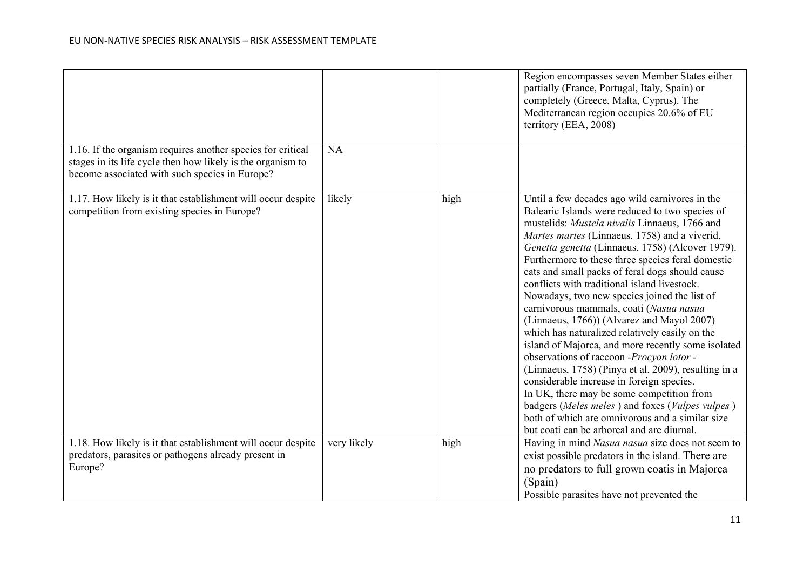|                                                                                                                                                                              |             |      | Region encompasses seven Member States either<br>partially (France, Portugal, Italy, Spain) or<br>completely (Greece, Malta, Cyprus). The<br>Mediterranean region occupies 20.6% of EU<br>territory (EEA, 2008)                                                                                                                                                                                                                                                                                                                                                                                                                                                                                                                                                                                                                                                                                                                                                                                                    |
|------------------------------------------------------------------------------------------------------------------------------------------------------------------------------|-------------|------|--------------------------------------------------------------------------------------------------------------------------------------------------------------------------------------------------------------------------------------------------------------------------------------------------------------------------------------------------------------------------------------------------------------------------------------------------------------------------------------------------------------------------------------------------------------------------------------------------------------------------------------------------------------------------------------------------------------------------------------------------------------------------------------------------------------------------------------------------------------------------------------------------------------------------------------------------------------------------------------------------------------------|
| 1.16. If the organism requires another species for critical<br>stages in its life cycle then how likely is the organism to<br>become associated with such species in Europe? | <b>NA</b>   |      |                                                                                                                                                                                                                                                                                                                                                                                                                                                                                                                                                                                                                                                                                                                                                                                                                                                                                                                                                                                                                    |
| 1.17. How likely is it that establishment will occur despite<br>competition from existing species in Europe?                                                                 | likely      | high | Until a few decades ago wild carnivores in the<br>Balearic Islands were reduced to two species of<br>mustelids: Mustela nivalis Linnaeus, 1766 and<br>Martes martes (Linnaeus, 1758) and a viverid,<br>Genetta genetta (Linnaeus, 1758) (Alcover 1979).<br>Furthermore to these three species feral domestic<br>cats and small packs of feral dogs should cause<br>conflicts with traditional island livestock.<br>Nowadays, two new species joined the list of<br>carnivorous mammals, coati (Nasua nasua<br>(Linnaeus, 1766)) (Alvarez and Mayol 2007)<br>which has naturalized relatively easily on the<br>island of Majorca, and more recently some isolated<br>observations of raccoon -Procyon lotor -<br>(Linnaeus, 1758) (Pinya et al. 2009), resulting in a<br>considerable increase in foreign species.<br>In UK, there may be some competition from<br>badgers (Meles meles) and foxes (Vulpes vulpes)<br>both of which are omnivorous and a similar size<br>but coati can be arboreal and are diurnal. |
| 1.18. How likely is it that establishment will occur despite<br>predators, parasites or pathogens already present in                                                         | very likely | high | Having in mind Nasua nasua size does not seem to<br>exist possible predators in the island. There are                                                                                                                                                                                                                                                                                                                                                                                                                                                                                                                                                                                                                                                                                                                                                                                                                                                                                                              |
| Europe?                                                                                                                                                                      |             |      | no predators to full grown coatis in Majorca                                                                                                                                                                                                                                                                                                                                                                                                                                                                                                                                                                                                                                                                                                                                                                                                                                                                                                                                                                       |
|                                                                                                                                                                              |             |      | (Spain)<br>Possible parasites have not prevented the                                                                                                                                                                                                                                                                                                                                                                                                                                                                                                                                                                                                                                                                                                                                                                                                                                                                                                                                                               |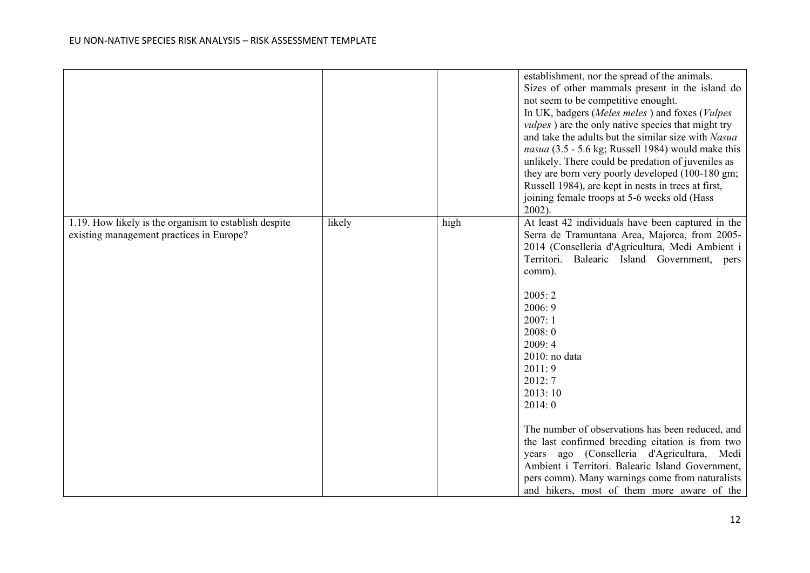|                                                                                                   |        |      | establishment, nor the spread of the animals.<br>Sizes of other mammals present in the island do<br>not seem to be competitive enought.<br>In UK, badgers (Meles meles) and foxes (Vulpes<br><i>vulpes</i> ) are the only native species that might try<br>and take the adults but the similar size with Nasua<br>nasua (3.5 - 5.6 kg; Russell 1984) would make this<br>unlikely. There could be predation of juveniles as<br>they are born very poorly developed (100-180 gm;<br>Russell 1984), are kept in nests in trees at first,<br>joining female troops at 5-6 weeks old (Hass<br>$2002$ ).                                               |
|---------------------------------------------------------------------------------------------------|--------|------|--------------------------------------------------------------------------------------------------------------------------------------------------------------------------------------------------------------------------------------------------------------------------------------------------------------------------------------------------------------------------------------------------------------------------------------------------------------------------------------------------------------------------------------------------------------------------------------------------------------------------------------------------|
| 1.19. How likely is the organism to establish despite<br>existing management practices in Europe? | likely | high | At least 42 individuals have been captured in the<br>Serra de Tramuntana Area, Majorca, from 2005-<br>2014 (Conselleria d'Agricultura, Medi Ambient i<br>Territori. Balearic Island Government,<br>pers<br>comm).<br>2005:2<br>2006:9<br>2007:1<br>2008:0<br>2009:4<br>$2010$ : no data<br>2011:9<br>2012: 7<br>2013:10<br>2014: 0<br>The number of observations has been reduced, and<br>the last confirmed breeding citation is from two<br>ago (Conselleria d'Agricultura, Medi<br>years<br>Ambient i Territori. Balearic Island Government,<br>pers comm). Many warnings come from naturalists<br>and hikers, most of them more aware of the |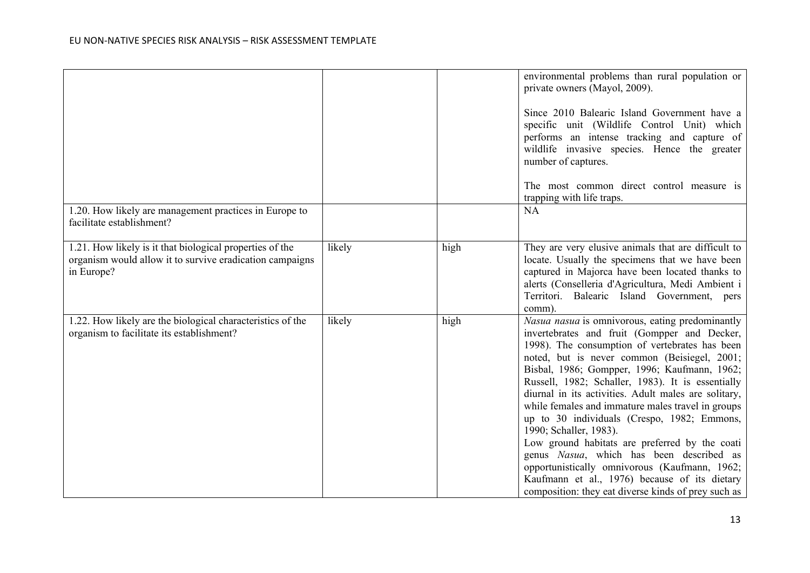|                                                                                                                                    |        |      | environmental problems than rural population or<br>private owners (Mayol, 2009).<br>Since 2010 Balearic Island Government have a<br>specific unit (Wildlife Control Unit) which<br>performs an intense tracking and capture of<br>wildlife invasive species. Hence the greater                                                                                                                                                                                                                                                                                                                                                                                                                                                                      |
|------------------------------------------------------------------------------------------------------------------------------------|--------|------|-----------------------------------------------------------------------------------------------------------------------------------------------------------------------------------------------------------------------------------------------------------------------------------------------------------------------------------------------------------------------------------------------------------------------------------------------------------------------------------------------------------------------------------------------------------------------------------------------------------------------------------------------------------------------------------------------------------------------------------------------------|
|                                                                                                                                    |        |      | number of captures.<br>The most common direct control measure is<br>trapping with life traps.                                                                                                                                                                                                                                                                                                                                                                                                                                                                                                                                                                                                                                                       |
| 1.20. How likely are management practices in Europe to<br>facilitate establishment?                                                |        |      | <b>NA</b>                                                                                                                                                                                                                                                                                                                                                                                                                                                                                                                                                                                                                                                                                                                                           |
| 1.21. How likely is it that biological properties of the<br>organism would allow it to survive eradication campaigns<br>in Europe? | likely | high | They are very elusive animals that are difficult to<br>locate. Usually the specimens that we have been<br>captured in Majorca have been located thanks to<br>alerts (Conselleria d'Agricultura, Medi Ambient i<br>Territori. Balearic Island Government, pers<br>comm).                                                                                                                                                                                                                                                                                                                                                                                                                                                                             |
| 1.22. How likely are the biological characteristics of the<br>organism to facilitate its establishment?                            | likely | high | Nasua nasua is omnivorous, eating predominantly<br>invertebrates and fruit (Gompper and Decker,<br>1998). The consumption of vertebrates has been<br>noted, but is never common (Beisiegel, 2001;<br>Bisbal, 1986; Gompper, 1996; Kaufmann, 1962;<br>Russell, 1982; Schaller, 1983). It is essentially<br>diurnal in its activities. Adult males are solitary,<br>while females and immature males travel in groups<br>up to 30 individuals (Crespo, 1982; Emmons,<br>1990; Schaller, 1983).<br>Low ground habitats are preferred by the coati<br>genus Nasua, which has been described as<br>opportunistically omnivorous (Kaufmann, 1962;<br>Kaufmann et al., 1976) because of its dietary<br>composition: they eat diverse kinds of prey such as |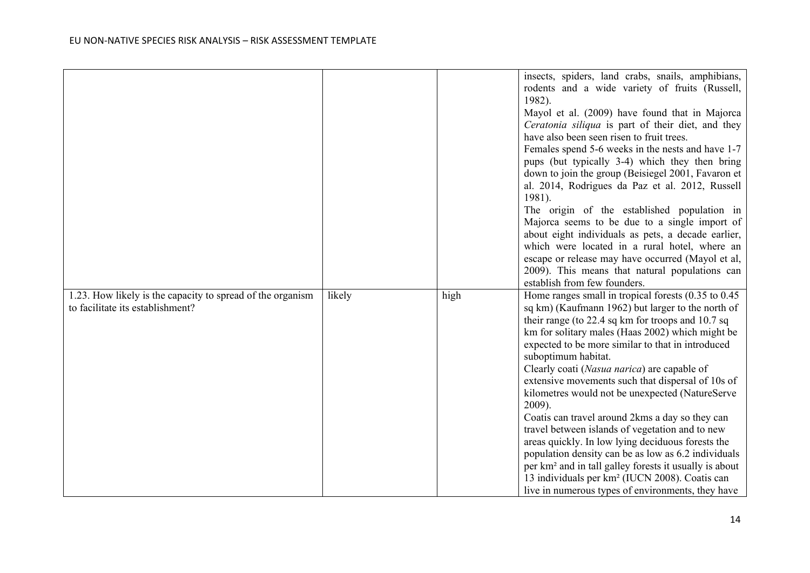|                                                                                                |        |      | insects, spiders, land crabs, snails, amphibians,<br>rodents and a wide variety of fruits (Russell,<br>1982).<br>Mayol et al. (2009) have found that in Majorca<br>Ceratonia siliqua is part of their diet, and they<br>have also been seen risen to fruit trees.<br>Females spend 5-6 weeks in the nests and have 1-7<br>pups (but typically 3-4) which they then bring<br>down to join the group (Beisiegel 2001, Favaron et<br>al. 2014, Rodrigues da Paz et al. 2012, Russell<br>1981).<br>The origin of the established population in<br>Majorca seems to be due to a single import of<br>about eight individuals as pets, a decade earlier,<br>which were located in a rural hotel, where an<br>escape or release may have occurred (Mayol et al,<br>2009). This means that natural populations can<br>establish from few founders.                                             |
|------------------------------------------------------------------------------------------------|--------|------|---------------------------------------------------------------------------------------------------------------------------------------------------------------------------------------------------------------------------------------------------------------------------------------------------------------------------------------------------------------------------------------------------------------------------------------------------------------------------------------------------------------------------------------------------------------------------------------------------------------------------------------------------------------------------------------------------------------------------------------------------------------------------------------------------------------------------------------------------------------------------------------|
| 1.23. How likely is the capacity to spread of the organism<br>to facilitate its establishment? | likely | high | Home ranges small in tropical forests $(0.35 \text{ to } 0.45)$<br>sq km) (Kaufmann 1962) but larger to the north of<br>their range (to 22.4 sq km for troops and 10.7 sq<br>km for solitary males (Haas 2002) which might be<br>expected to be more similar to that in introduced<br>suboptimum habitat.<br>Clearly coati (Nasua narica) are capable of<br>extensive movements such that dispersal of 10s of<br>kilometres would not be unexpected (NatureServe<br>2009).<br>Coatis can travel around 2kms a day so they can<br>travel between islands of vegetation and to new<br>areas quickly. In low lying deciduous forests the<br>population density can be as low as 6.2 individuals<br>per km <sup>2</sup> and in tall galley forests it usually is about<br>13 individuals per km <sup>2</sup> (IUCN 2008). Coatis can<br>live in numerous types of environments, they have |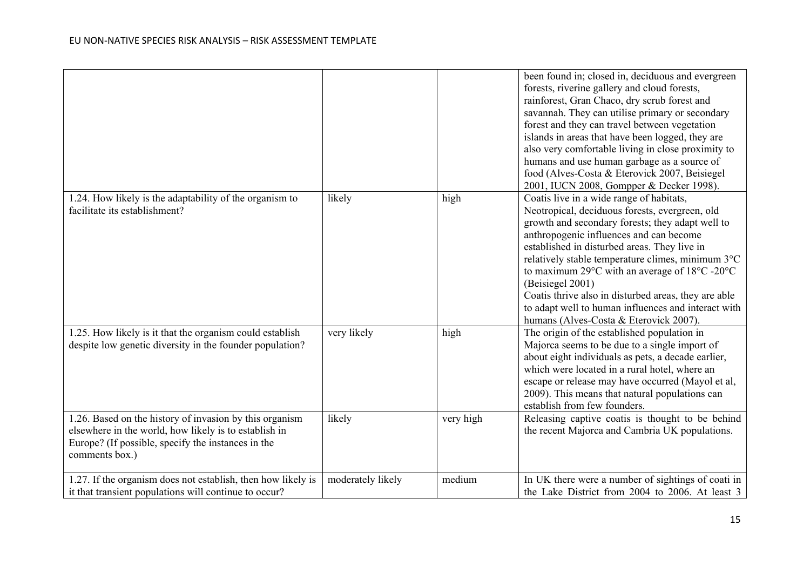|                                                                                                                                                                                          |                   |           | been found in; closed in, deciduous and evergreen<br>forests, riverine gallery and cloud forests,<br>rainforest, Gran Chaco, dry scrub forest and<br>savannah. They can utilise primary or secondary<br>forest and they can travel between vegetation<br>islands in areas that have been logged, they are<br>also very comfortable living in close proximity to<br>humans and use human garbage as a source of<br>food (Alves-Costa & Eterovick 2007, Beisiegel<br>2001, IUCN 2008, Gompper & Decker 1998).                                                               |
|------------------------------------------------------------------------------------------------------------------------------------------------------------------------------------------|-------------------|-----------|---------------------------------------------------------------------------------------------------------------------------------------------------------------------------------------------------------------------------------------------------------------------------------------------------------------------------------------------------------------------------------------------------------------------------------------------------------------------------------------------------------------------------------------------------------------------------|
| 1.24. How likely is the adaptability of the organism to<br>facilitate its establishment?                                                                                                 | likely            | high      | Coatis live in a wide range of habitats,<br>Neotropical, deciduous forests, evergreen, old<br>growth and secondary forests; they adapt well to<br>anthropogenic influences and can become<br>established in disturbed areas. They live in<br>relatively stable temperature climes, minimum 3°C<br>to maximum 29 $\rm{^{\circ}C}$ with an average of 18 $\rm{^{\circ}C}$ -20 $\rm{^{\circ}C}$<br>(Beisiegel 2001)<br>Coatis thrive also in disturbed areas, they are able<br>to adapt well to human influences and interact with<br>humans (Alves-Costa & Eterovick 2007). |
| 1.25. How likely is it that the organism could establish<br>despite low genetic diversity in the founder population?                                                                     | very likely       | high      | The origin of the established population in<br>Majorca seems to be due to a single import of<br>about eight individuals as pets, a decade earlier,<br>which were located in a rural hotel, where an<br>escape or release may have occurred (Mayol et al,<br>2009). This means that natural populations can<br>establish from few founders.                                                                                                                                                                                                                                |
| 1.26. Based on the history of invasion by this organism<br>elsewhere in the world, how likely is to establish in<br>Europe? (If possible, specify the instances in the<br>comments box.) | likely            | very high | Releasing captive coatis is thought to be behind<br>the recent Majorca and Cambria UK populations.                                                                                                                                                                                                                                                                                                                                                                                                                                                                        |
| 1.27. If the organism does not establish, then how likely is<br>it that transient populations will continue to occur?                                                                    | moderately likely | medium    | In UK there were a number of sightings of coati in<br>the Lake District from 2004 to 2006. At least 3                                                                                                                                                                                                                                                                                                                                                                                                                                                                     |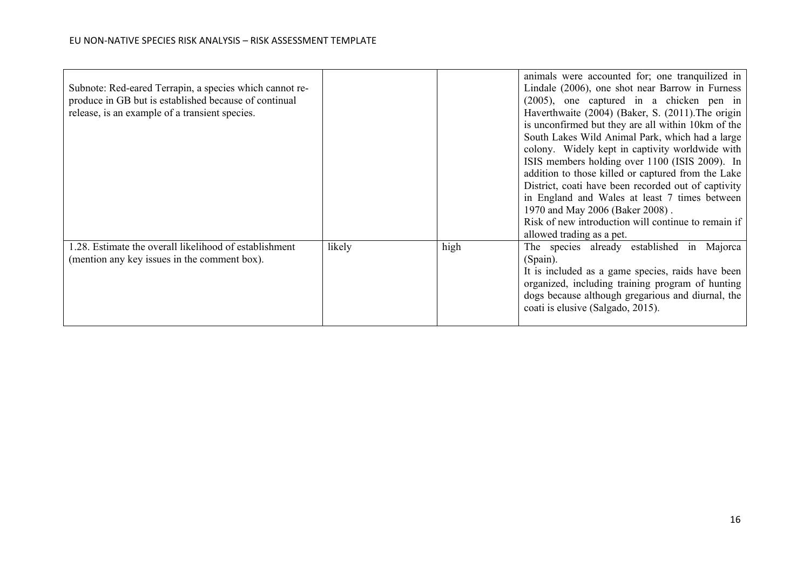|                                                         |        |      | animals were accounted for; one tranquilized in     |
|---------------------------------------------------------|--------|------|-----------------------------------------------------|
| Subnote: Red-eared Terrapin, a species which cannot re- |        |      | Lindale (2006), one shot near Barrow in Furness     |
| produce in GB but is established because of continual   |        |      | (2005), one captured in a chicken pen in            |
| release, is an example of a transient species.          |        |      | Haverthwaite (2004) (Baker, S. (2011). The origin   |
|                                                         |        |      | is unconfirmed but they are all within 10km of the  |
|                                                         |        |      | South Lakes Wild Animal Park, which had a large     |
|                                                         |        |      | colony. Widely kept in captivity worldwide with     |
|                                                         |        |      | ISIS members holding over 1100 (ISIS 2009). In      |
|                                                         |        |      | addition to those killed or captured from the Lake  |
|                                                         |        |      | District, coati have been recorded out of captivity |
|                                                         |        |      | in England and Wales at least 7 times between       |
|                                                         |        |      | 1970 and May 2006 (Baker 2008).                     |
|                                                         |        |      | Risk of new introduction will continue to remain if |
|                                                         |        |      | allowed trading as a pet.                           |
| 1.28. Estimate the overall likelihood of establishment  | likely | high | The species already established in Majorca          |
| (mention any key issues in the comment box).            |        |      | (Spain).                                            |
|                                                         |        |      | It is included as a game species, raids have been   |
|                                                         |        |      | organized, including training program of hunting    |
|                                                         |        |      | dogs because although gregarious and diurnal, the   |
|                                                         |        |      | coati is elusive (Salgado, 2015).                   |
|                                                         |        |      |                                                     |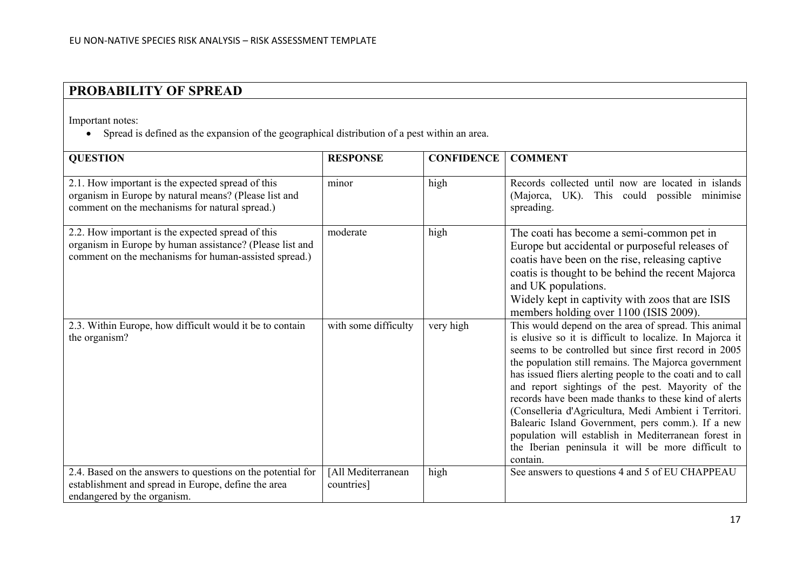# **PROBABILITY OF SPREAD**

Important notes:

• Spread is defined as the expansion of the geographical distribution of a pest within an area.

| <b>QUESTION</b>                                                                                                                                                        | <b>RESPONSE</b>      | <b>CONFIDENCE</b> | <b>COMMENT</b>                                                                                                                                                                                                                                                                                                                                                                                                                                                                                                                                                                                                                                        |
|------------------------------------------------------------------------------------------------------------------------------------------------------------------------|----------------------|-------------------|-------------------------------------------------------------------------------------------------------------------------------------------------------------------------------------------------------------------------------------------------------------------------------------------------------------------------------------------------------------------------------------------------------------------------------------------------------------------------------------------------------------------------------------------------------------------------------------------------------------------------------------------------------|
|                                                                                                                                                                        |                      |                   |                                                                                                                                                                                                                                                                                                                                                                                                                                                                                                                                                                                                                                                       |
| 2.1. How important is the expected spread of this<br>organism in Europe by natural means? (Please list and<br>comment on the mechanisms for natural spread.)           | minor                | high              | Records collected until now are located in islands<br>(Majorca, UK). This could possible minimise<br>spreading.                                                                                                                                                                                                                                                                                                                                                                                                                                                                                                                                       |
| 2.2. How important is the expected spread of this<br>organism in Europe by human assistance? (Please list and<br>comment on the mechanisms for human-assisted spread.) | moderate             | high              | The coati has become a semi-common pet in<br>Europe but accidental or purposeful releases of<br>coatis have been on the rise, releasing captive<br>coatis is thought to be behind the recent Majorca<br>and UK populations.<br>Widely kept in captivity with zoos that are ISIS<br>members holding over 1100 (ISIS 2009).                                                                                                                                                                                                                                                                                                                             |
| 2.3. Within Europe, how difficult would it be to contain<br>the organism?                                                                                              | with some difficulty | very high         | This would depend on the area of spread. This animal<br>is elusive so it is difficult to localize. In Majorca it<br>seems to be controlled but since first record in 2005<br>the population still remains. The Majorca government<br>has issued fliers alerting people to the coati and to call<br>and report sightings of the pest. Mayority of the<br>records have been made thanks to these kind of alerts<br>(Conselleria d'Agricultura, Medi Ambient i Territori.<br>Balearic Island Government, pers comm.). If a new<br>population will establish in Mediterranean forest in<br>the Iberian peninsula it will be more difficult to<br>contain. |
| 2.4. Based on the answers to questions on the potential for                                                                                                            | [All Mediterranean   | high              | See answers to questions 4 and 5 of EU CHAPPEAU                                                                                                                                                                                                                                                                                                                                                                                                                                                                                                                                                                                                       |
| establishment and spread in Europe, define the area<br>endangered by the organism.                                                                                     | countries]           |                   |                                                                                                                                                                                                                                                                                                                                                                                                                                                                                                                                                                                                                                                       |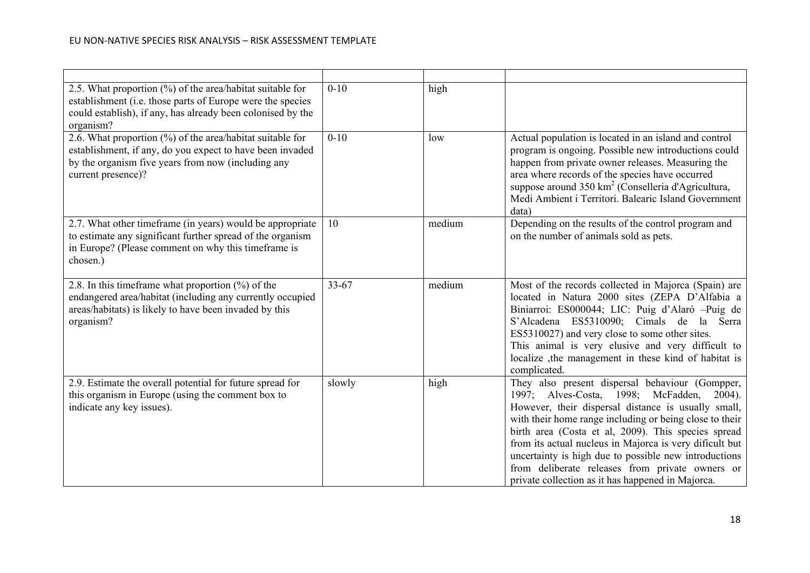| 2.5. What proportion $(\%)$ of the area/habitat suitable for<br>establishment (i.e. those parts of Europe were the species<br>could establish), if any, has already been colonised by the<br>organism? | $0 - 10$  | high   |                                                                                                                                                                                                                                                                                                                                                                                                                                                                                                         |
|--------------------------------------------------------------------------------------------------------------------------------------------------------------------------------------------------------|-----------|--------|---------------------------------------------------------------------------------------------------------------------------------------------------------------------------------------------------------------------------------------------------------------------------------------------------------------------------------------------------------------------------------------------------------------------------------------------------------------------------------------------------------|
| 2.6. What proportion (%) of the area/habitat suitable for<br>establishment, if any, do you expect to have been invaded<br>by the organism five years from now (including any<br>current presence)?     | $0 - 10$  | low    | Actual population is located in an island and control<br>program is ongoing. Possible new introductions could<br>happen from private owner releases. Measuring the<br>area where records of the species have occurred<br>suppose around 350 km <sup>2</sup> (Conselleria d'Agricultura,<br>Medi Ambient i Territori. Balearic Island Government<br>data)                                                                                                                                                |
| 2.7. What other timeframe (in years) would be appropriate<br>to estimate any significant further spread of the organism<br>in Europe? (Please comment on why this timeframe is<br>chosen.)             | 10        | medium | Depending on the results of the control program and<br>on the number of animals sold as pets.                                                                                                                                                                                                                                                                                                                                                                                                           |
| 2.8. In this time frame what proportion $(\%)$ of the<br>endangered area/habitat (including any currently occupied<br>areas/habitats) is likely to have been invaded by this<br>organism?              | $33 - 67$ | medium | Most of the records collected in Majorca (Spain) are<br>located in Natura 2000 sites (ZEPA D'Alfabia a<br>Biniarroi: ES000044; LIC: Puig d'Alaró -Puig de<br>S'Alcadena ES5310090; Cimals de la Serra<br>ES5310027) and very close to some other sites.<br>This animal is very elusive and very difficult to<br>localize ,the management in these kind of habitat is<br>complicated.                                                                                                                    |
| 2.9. Estimate the overall potential for future spread for<br>this organism in Europe (using the comment box to<br>indicate any key issues).                                                            | slowly    | high   | They also present dispersal behaviour (Gompper,<br>1997; Alves-Costa, 1998; McFadden,<br>$2004$ ).<br>However, their dispersal distance is usually small,<br>with their home range including or being close to their<br>birth area (Costa et al, 2009). This species spread<br>from its actual nucleus in Majorca is very dificult but<br>uncertainty is high due to possible new introductions<br>from deliberate releases from private owners or<br>private collection as it has happened in Majorca. |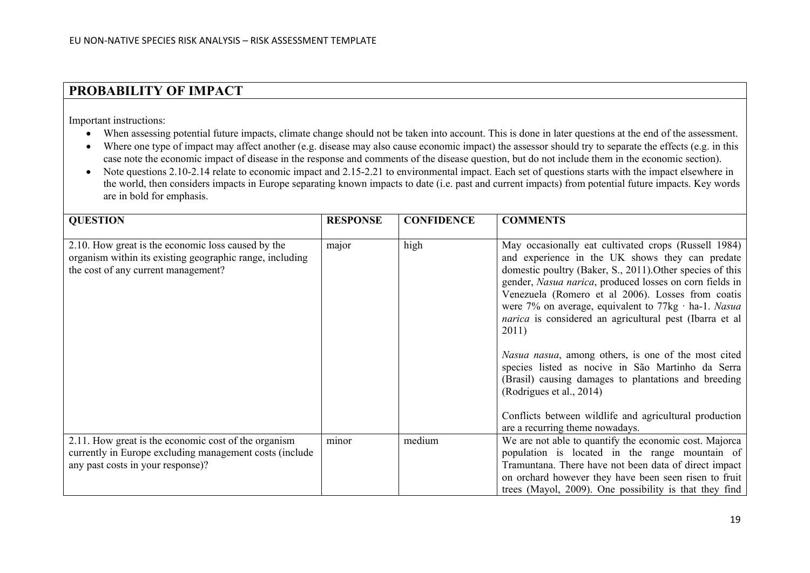## **PROBABILITY OF IMPACT**

Important instructions:

- When assessing potential future impacts, climate change should not be taken into account. This is done in later questions at the end of the assessment.
- Where one type of impact may affect another (e.g. disease may also cause economic impact) the assessor should try to separate the effects (e.g. in this case note the economic impact of disease in the response and comments of the disease question, but do not include them in the economic section).
- Note questions 2.10-2.14 relate to economic impact and 2.15-2.21 to environmental impact. Each set of questions starts with the impact elsewhere in the world, then considers impacts in Europe separating known impacts to date (i.e. past and current impacts) from potential future impacts. Key words are in bold for emphasis.

| <b>QUESTION</b>                                                                                                                                       | <b>RESPONSE</b> | <b>CONFIDENCE</b> | <b>COMMENTS</b>                                                                                                                                                                                                                                                                                                                                                                                                                                                                                                                                                                                                  |
|-------------------------------------------------------------------------------------------------------------------------------------------------------|-----------------|-------------------|------------------------------------------------------------------------------------------------------------------------------------------------------------------------------------------------------------------------------------------------------------------------------------------------------------------------------------------------------------------------------------------------------------------------------------------------------------------------------------------------------------------------------------------------------------------------------------------------------------------|
| 2.10. How great is the economic loss caused by the<br>organism within its existing geographic range, including<br>the cost of any current management? | major           | high              | May occasionally eat cultivated crops (Russell 1984)<br>and experience in the UK shows they can predate<br>domestic poultry (Baker, S., 2011). Other species of this<br>gender, Nasua narica, produced losses on corn fields in<br>Venezuela (Romero et al 2006). Losses from coatis<br>were 7% on average, equivalent to $77\text{kg} \cdot \text{ha-1}$ . Nasua<br><i>narica</i> is considered an agricultural pest (Ibarra et al<br>2011)<br>Nasua nasua, among others, is one of the most cited<br>species listed as nocive in São Martinho da Serra<br>(Brasil) causing damages to plantations and breeding |
|                                                                                                                                                       |                 |                   | (Rodrigues et al., 2014)<br>Conflicts between wildlife and agricultural production<br>are a recurring theme nowadays.                                                                                                                                                                                                                                                                                                                                                                                                                                                                                            |
| 2.11. How great is the economic cost of the organism                                                                                                  | minor           | medium            | We are not able to quantify the economic cost. Majorca                                                                                                                                                                                                                                                                                                                                                                                                                                                                                                                                                           |
| currently in Europe excluding management costs (include                                                                                               |                 |                   | population is located in the range mountain of                                                                                                                                                                                                                                                                                                                                                                                                                                                                                                                                                                   |
| any past costs in your response)?                                                                                                                     |                 |                   | Tramuntana. There have not been data of direct impact<br>on orchard however they have been seen risen to fruit                                                                                                                                                                                                                                                                                                                                                                                                                                                                                                   |
|                                                                                                                                                       |                 |                   | trees (Mayol, 2009). One possibility is that they find                                                                                                                                                                                                                                                                                                                                                                                                                                                                                                                                                           |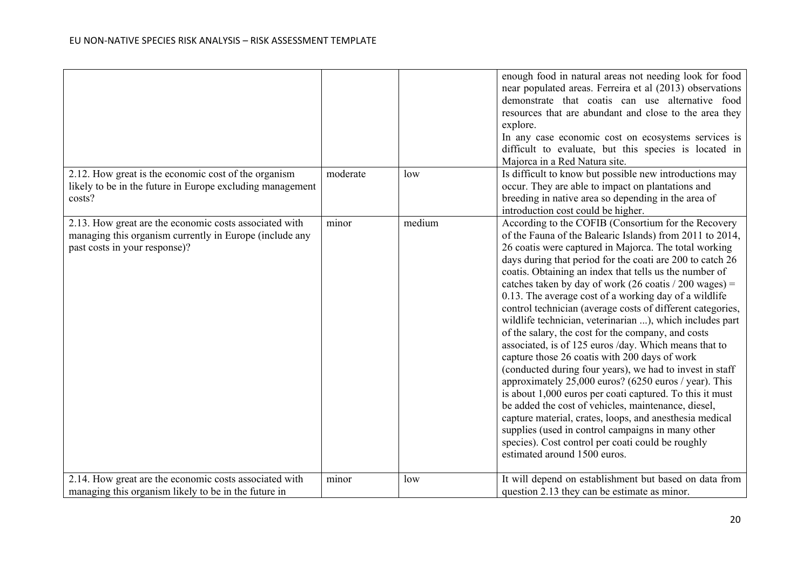|                                                                                                                                                    |          |        | enough food in natural areas not needing look for food<br>near populated areas. Ferreira et al (2013) observations<br>demonstrate that coatis can use alternative food<br>resources that are abundant and close to the area they<br>explore.<br>In any case economic cost on ecosystems services is<br>difficult to evaluate, but this species is located in<br>Majorca in a Red Natura site.                                                                                                                                                                                                                                                                                                                                                                                                                                                                                                                                                                                                                                                                                                                                                             |
|----------------------------------------------------------------------------------------------------------------------------------------------------|----------|--------|-----------------------------------------------------------------------------------------------------------------------------------------------------------------------------------------------------------------------------------------------------------------------------------------------------------------------------------------------------------------------------------------------------------------------------------------------------------------------------------------------------------------------------------------------------------------------------------------------------------------------------------------------------------------------------------------------------------------------------------------------------------------------------------------------------------------------------------------------------------------------------------------------------------------------------------------------------------------------------------------------------------------------------------------------------------------------------------------------------------------------------------------------------------|
| 2.12. How great is the economic cost of the organism<br>likely to be in the future in Europe excluding management<br>costs?                        | moderate | low    | Is difficult to know but possible new introductions may<br>occur. They are able to impact on plantations and<br>breeding in native area so depending in the area of<br>introduction cost could be higher.                                                                                                                                                                                                                                                                                                                                                                                                                                                                                                                                                                                                                                                                                                                                                                                                                                                                                                                                                 |
| 2.13. How great are the economic costs associated with<br>managing this organism currently in Europe (include any<br>past costs in your response)? | minor    | medium | According to the COFIB (Consortium for the Recovery<br>of the Fauna of the Balearic Islands) from 2011 to 2014,<br>26 coatis were captured in Majorca. The total working<br>days during that period for the coati are 200 to catch 26<br>coatis. Obtaining an index that tells us the number of<br>catches taken by day of work (26 coatis / 200 wages) =<br>0.13. The average cost of a working day of a wildlife<br>control technician (average costs of different categories,<br>wildlife technician, veterinarian ), which includes part<br>of the salary, the cost for the company, and costs<br>associated, is of 125 euros /day. Which means that to<br>capture those 26 coatis with 200 days of work<br>(conducted during four years), we had to invest in staff<br>approximately 25,000 euros? (6250 euros / year). This<br>is about 1,000 euros per coati captured. To this it must<br>be added the cost of vehicles, maintenance, diesel,<br>capture material, crates, loops, and anesthesia medical<br>supplies (used in control campaigns in many other<br>species). Cost control per coati could be roughly<br>estimated around 1500 euros. |
| 2.14. How great are the economic costs associated with<br>managing this organism likely to be in the future in                                     | minor    | low    | It will depend on establishment but based on data from<br>question 2.13 they can be estimate as minor.                                                                                                                                                                                                                                                                                                                                                                                                                                                                                                                                                                                                                                                                                                                                                                                                                                                                                                                                                                                                                                                    |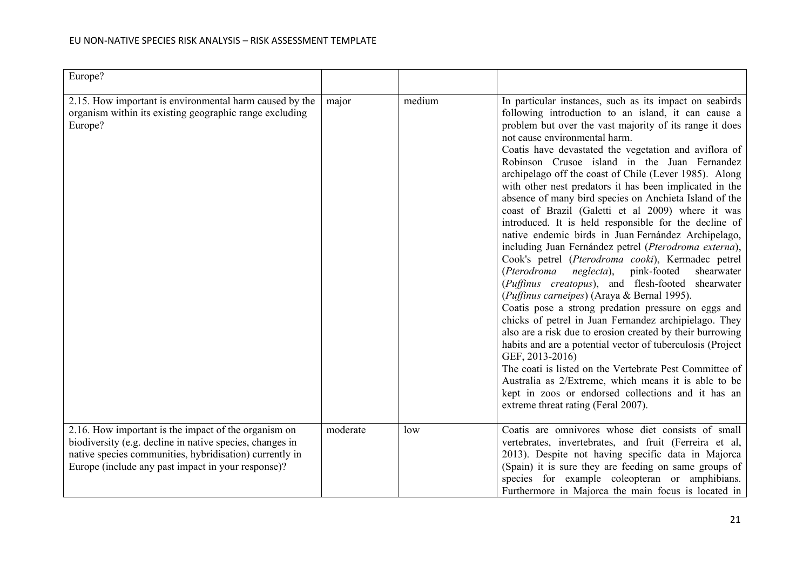| Europe?                                                                                                                                                                                                                           |          |        |                                                                                                                                                                                                                                                                                                                                                                                                                                                                                                                                                                                                                                                                                                                                                                                                                                                                                                                                                                                                                                                                                                                                                                                                                                                                                                                                                                                                                                   |
|-----------------------------------------------------------------------------------------------------------------------------------------------------------------------------------------------------------------------------------|----------|--------|-----------------------------------------------------------------------------------------------------------------------------------------------------------------------------------------------------------------------------------------------------------------------------------------------------------------------------------------------------------------------------------------------------------------------------------------------------------------------------------------------------------------------------------------------------------------------------------------------------------------------------------------------------------------------------------------------------------------------------------------------------------------------------------------------------------------------------------------------------------------------------------------------------------------------------------------------------------------------------------------------------------------------------------------------------------------------------------------------------------------------------------------------------------------------------------------------------------------------------------------------------------------------------------------------------------------------------------------------------------------------------------------------------------------------------------|
|                                                                                                                                                                                                                                   |          |        |                                                                                                                                                                                                                                                                                                                                                                                                                                                                                                                                                                                                                                                                                                                                                                                                                                                                                                                                                                                                                                                                                                                                                                                                                                                                                                                                                                                                                                   |
| 2.15. How important is environmental harm caused by the<br>organism within its existing geographic range excluding<br>Europe?                                                                                                     | major    | medium | In particular instances, such as its impact on seabirds<br>following introduction to an island, it can cause a<br>problem but over the vast majority of its range it does<br>not cause environmental harm.<br>Coatis have devastated the vegetation and aviflora of<br>Robinson Crusoe island in the Juan Fernandez<br>archipelago off the coast of Chile (Lever 1985). Along<br>with other nest predators it has been implicated in the<br>absence of many bird species on Anchieta Island of the<br>coast of Brazil (Galetti et al 2009) where it was<br>introduced. It is held responsible for the decline of<br>native endemic birds in Juan Fernández Archipelago,<br>including Juan Fernández petrel (Pterodroma externa),<br>Cook's petrel (Pterodroma cooki), Kermadec petrel<br>(Pterodroma<br>neglecta),<br>pink-footed<br>shearwater<br>(Puffinus creatopus), and flesh-footed shearwater<br>(Puffinus carneipes) (Araya & Bernal 1995).<br>Coatis pose a strong predation pressure on eggs and<br>chicks of petrel in Juan Fernandez archipielago. They<br>also are a risk due to erosion created by their burrowing<br>habits and are a potential vector of tuberculosis (Project<br>GEF, 2013-2016)<br>The coati is listed on the Vertebrate Pest Committee of<br>Australia as 2/Extreme, which means it is able to be<br>kept in zoos or endorsed collections and it has an<br>extreme threat rating (Feral 2007). |
| 2.16. How important is the impact of the organism on<br>biodiversity (e.g. decline in native species, changes in<br>native species communities, hybridisation) currently in<br>Europe (include any past impact in your response)? | moderate | low    | Coatis are omnivores whose diet consists of small<br>vertebrates, invertebrates, and fruit (Ferreira et al,<br>2013). Despite not having specific data in Majorca<br>(Spain) it is sure they are feeding on same groups of<br>species for example coleopteran or amphibians.<br>Furthermore in Majorca the main focus is located in                                                                                                                                                                                                                                                                                                                                                                                                                                                                                                                                                                                                                                                                                                                                                                                                                                                                                                                                                                                                                                                                                               |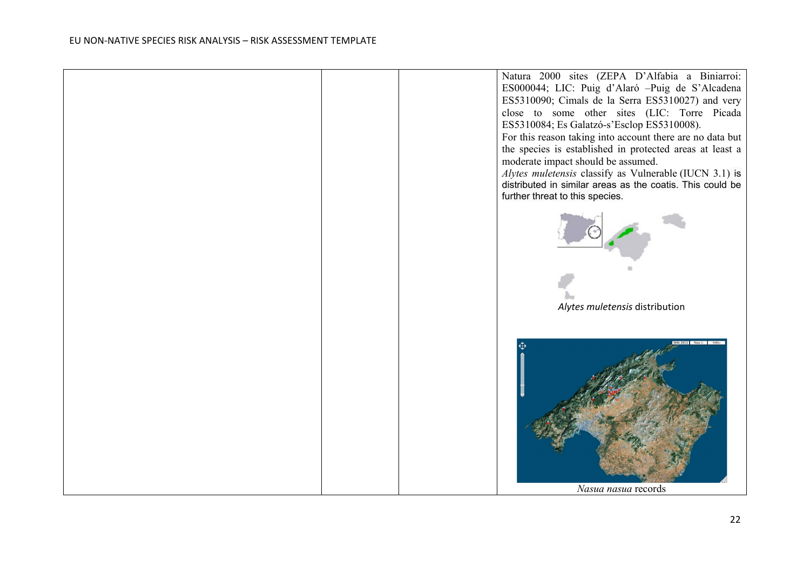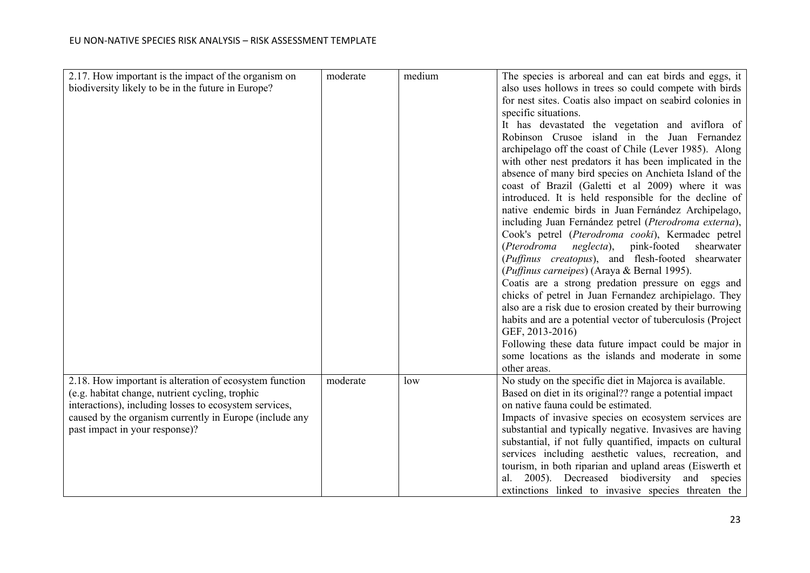| 2.17. How important is the impact of the organism on<br>biodiversity likely to be in the future in Europe?                                                                                                                                                        | moderate | medium | The species is arboreal and can eat birds and eggs, it<br>also uses hollows in trees so could compete with birds<br>for nest sites. Coatis also impact on seabird colonies in<br>specific situations.<br>It has devastated the vegetation and aviflora of                                                                                                                                                                                                                                                                                                              |
|-------------------------------------------------------------------------------------------------------------------------------------------------------------------------------------------------------------------------------------------------------------------|----------|--------|------------------------------------------------------------------------------------------------------------------------------------------------------------------------------------------------------------------------------------------------------------------------------------------------------------------------------------------------------------------------------------------------------------------------------------------------------------------------------------------------------------------------------------------------------------------------|
|                                                                                                                                                                                                                                                                   |          |        | Robinson Crusoe island in the Juan Fernandez<br>archipelago off the coast of Chile (Lever 1985). Along<br>with other nest predators it has been implicated in the<br>absence of many bird species on Anchieta Island of the<br>coast of Brazil (Galetti et al 2009) where it was<br>introduced. It is held responsible for the decline of<br>native endemic birds in Juan Fernández Archipelago,<br>including Juan Fernández petrel (Pterodroma externa),<br>Cook's petrel (Pterodroma cooki), Kermadec petrel                                                         |
|                                                                                                                                                                                                                                                                   |          |        | (Pterodroma<br><i>neglecta</i> ), pink-footed<br>shearwater<br>(Puffinus creatopus), and flesh-footed shearwater<br>(Puffinus carneipes) (Araya & Bernal 1995).<br>Coatis are a strong predation pressure on eggs and<br>chicks of petrel in Juan Fernandez archipielago. They<br>also are a risk due to erosion created by their burrowing<br>habits and are a potential vector of tuberculosis (Project<br>GEF, 2013-2016)<br>Following these data future impact could be major in<br>some locations as the islands and moderate in some<br>other areas.             |
| 2.18. How important is alteration of ecosystem function<br>(e.g. habitat change, nutrient cycling, trophic<br>interactions), including losses to ecosystem services,<br>caused by the organism currently in Europe (include any<br>past impact in your response)? | moderate | low    | No study on the specific diet in Majorca is available.<br>Based on diet in its original?? range a potential impact<br>on native fauna could be estimated.<br>Impacts of invasive species on ecosystem services are<br>substantial and typically negative. Invasives are having<br>substantial, if not fully quantified, impacts on cultural<br>services including aesthetic values, recreation, and<br>tourism, in both riparian and upland areas (Eiswerth et<br>al. 2005). Decreased biodiversity and species<br>extinctions linked to invasive species threaten the |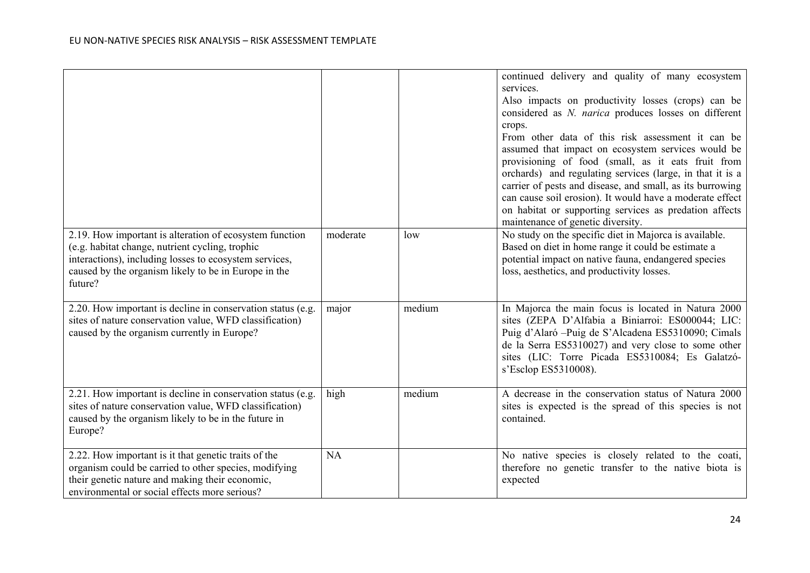|                                                                                                                                                                                                                                         |           |        | continued delivery and quality of many ecosystem<br>services.<br>Also impacts on productivity losses (crops) can be<br>considered as N. narica produces losses on different<br>crops.<br>From other data of this risk assessment it can be<br>assumed that impact on ecosystem services would be<br>provisioning of food (small, as it eats fruit from<br>orchards) and regulating services (large, in that it is a<br>carrier of pests and disease, and small, as its burrowing<br>can cause soil erosion). It would have a moderate effect<br>on habitat or supporting services as predation affects<br>maintenance of genetic diversity. |
|-----------------------------------------------------------------------------------------------------------------------------------------------------------------------------------------------------------------------------------------|-----------|--------|---------------------------------------------------------------------------------------------------------------------------------------------------------------------------------------------------------------------------------------------------------------------------------------------------------------------------------------------------------------------------------------------------------------------------------------------------------------------------------------------------------------------------------------------------------------------------------------------------------------------------------------------|
| 2.19. How important is alteration of ecosystem function<br>(e.g. habitat change, nutrient cycling, trophic<br>interactions), including losses to ecosystem services,<br>caused by the organism likely to be in Europe in the<br>future? | moderate  | low    | No study on the specific diet in Majorca is available.<br>Based on diet in home range it could be estimate a<br>potential impact on native fauna, endangered species<br>loss, aesthetics, and productivity losses.                                                                                                                                                                                                                                                                                                                                                                                                                          |
| 2.20. How important is decline in conservation status (e.g.<br>sites of nature conservation value, WFD classification)<br>caused by the organism currently in Europe?                                                                   | major     | medium | In Majorca the main focus is located in Natura 2000<br>sites (ZEPA D'Alfabia a Biniarroi: ES000044; LIC:<br>Puig d'Alaró -- Puig de S'Alcadena ES5310090; Cimals<br>de la Serra ES5310027) and very close to some other<br>sites (LIC: Torre Picada ES5310084; Es Galatzó-<br>s'Esclop ES5310008).                                                                                                                                                                                                                                                                                                                                          |
| 2.21. How important is decline in conservation status (e.g.<br>sites of nature conservation value, WFD classification)<br>caused by the organism likely to be in the future in<br>Europe?                                               | high      | medium | A decrease in the conservation status of Natura 2000<br>sites is expected is the spread of this species is not<br>contained.                                                                                                                                                                                                                                                                                                                                                                                                                                                                                                                |
| 2.22. How important is it that genetic traits of the<br>organism could be carried to other species, modifying<br>their genetic nature and making their economic,<br>environmental or social effects more serious?                       | <b>NA</b> |        | No native species is closely related to the coati,<br>therefore no genetic transfer to the native biota is<br>expected                                                                                                                                                                                                                                                                                                                                                                                                                                                                                                                      |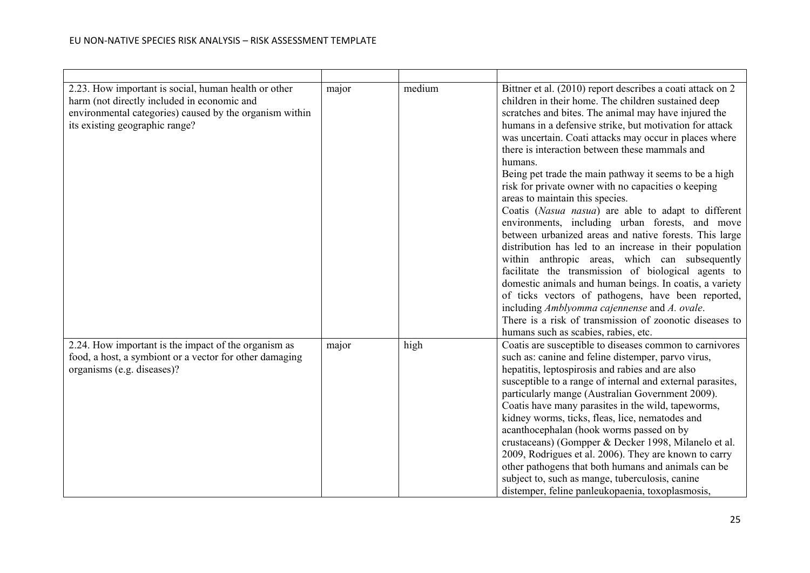| 2.23. How important is social, human health or other<br>harm (not directly included in economic and<br>environmental categories) caused by the organism within<br>its existing geographic range? | major | medium | Bittner et al. (2010) report describes a coati attack on 2<br>children in their home. The children sustained deep<br>scratches and bites. The animal may have injured the<br>humans in a defensive strike, but motivation for attack<br>was uncertain. Coati attacks may occur in places where<br>there is interaction between these mammals and<br>humans.<br>Being pet trade the main pathway it seems to be a high<br>risk for private owner with no capacities o keeping<br>areas to maintain this species.<br>Coatis (Nasua nasua) are able to adapt to different<br>environments, including urban forests, and move<br>between urbanized areas and native forests. This large<br>distribution has led to an increase in their population<br>within anthropic areas, which can subsequently<br>facilitate the transmission of biological agents to<br>domestic animals and human beings. In coatis, a variety<br>of ticks vectors of pathogens, have been reported,<br>including Amblyomma cajennense and A. ovale.<br>There is a risk of transmission of zoonotic diseases to<br>humans such as scabies, rabies, etc. |
|--------------------------------------------------------------------------------------------------------------------------------------------------------------------------------------------------|-------|--------|-----------------------------------------------------------------------------------------------------------------------------------------------------------------------------------------------------------------------------------------------------------------------------------------------------------------------------------------------------------------------------------------------------------------------------------------------------------------------------------------------------------------------------------------------------------------------------------------------------------------------------------------------------------------------------------------------------------------------------------------------------------------------------------------------------------------------------------------------------------------------------------------------------------------------------------------------------------------------------------------------------------------------------------------------------------------------------------------------------------------------------|
| 2.24. How important is the impact of the organism as<br>food, a host, a symbiont or a vector for other damaging<br>organisms (e.g. diseases)?                                                    | major | high   | Coatis are susceptible to diseases common to carnivores<br>such as: canine and feline distemper, parvo virus,<br>hepatitis, leptospirosis and rabies and are also<br>susceptible to a range of internal and external parasites,<br>particularly mange (Australian Government 2009).<br>Coatis have many parasites in the wild, tapeworms,<br>kidney worms, ticks, fleas, lice, nematodes and<br>acanthocephalan (hook worms passed on by<br>crustaceans) (Gompper & Decker 1998, Milanelo et al.<br>2009, Rodrigues et al. 2006). They are known to carry<br>other pathogens that both humans and animals can be<br>subject to, such as mange, tuberculosis, canine<br>distemper, feline panleukopaenia, toxoplasmosis,                                                                                                                                                                                                                                                                                                                                                                                                     |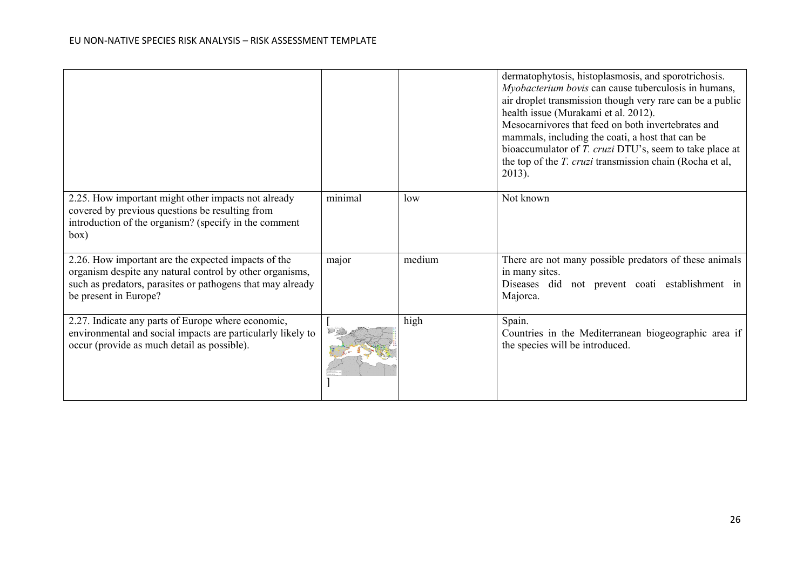|                                                                                                                                                                                                        |         |        | dermatophytosis, histoplasmosis, and sporotrichosis.<br>Myobacterium bovis can cause tuberculosis in humans,<br>air droplet transmission though very rare can be a public<br>health issue (Murakami et al. 2012).<br>Mesocarnivores that feed on both invertebrates and<br>mammals, including the coati, a host that can be<br>bioaccumulator of T. cruzi DTU's, seem to take place at<br>the top of the T. cruzi transmission chain (Rocha et al,<br>$2013$ ). |
|--------------------------------------------------------------------------------------------------------------------------------------------------------------------------------------------------------|---------|--------|-----------------------------------------------------------------------------------------------------------------------------------------------------------------------------------------------------------------------------------------------------------------------------------------------------------------------------------------------------------------------------------------------------------------------------------------------------------------|
| 2.25. How important might other impacts not already<br>covered by previous questions be resulting from<br>introduction of the organism? (specify in the comment<br>box)                                | minimal | low    | Not known                                                                                                                                                                                                                                                                                                                                                                                                                                                       |
| 2.26. How important are the expected impacts of the<br>organism despite any natural control by other organisms,<br>such as predators, parasites or pathogens that may already<br>be present in Europe? | major   | medium | There are not many possible predators of these animals<br>in many sites.<br>Diseases did not prevent coati establishment in<br>Majorca.                                                                                                                                                                                                                                                                                                                         |
| 2.27. Indicate any parts of Europe where economic,<br>environmental and social impacts are particularly likely to<br>occur (provide as much detail as possible).                                       |         | high   | Spain.<br>Countries in the Mediterranean biogeographic area if<br>the species will be introduced.                                                                                                                                                                                                                                                                                                                                                               |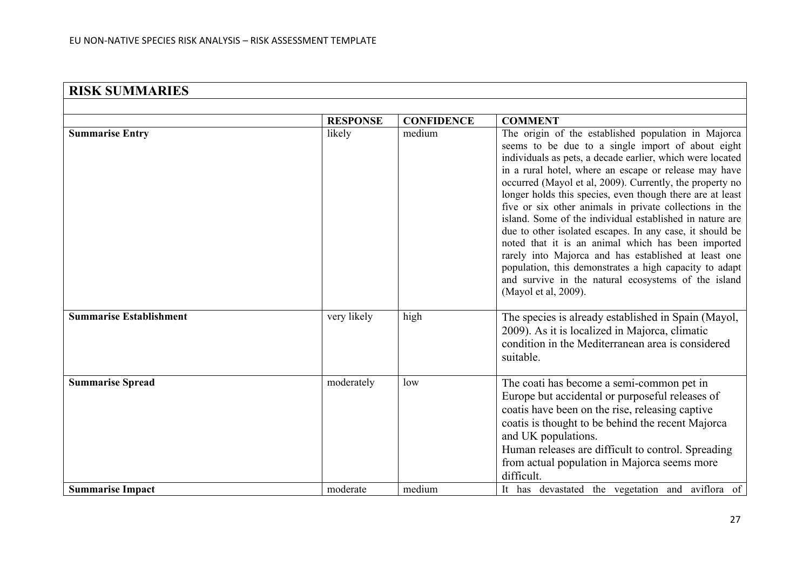| <b>RISK SUMMARIES</b>          |                 |                   |                                                                                                                                                                                                                                                                                                                                                                                                                                                                                                                                                                                                                                                                                                                                                                                                   |
|--------------------------------|-----------------|-------------------|---------------------------------------------------------------------------------------------------------------------------------------------------------------------------------------------------------------------------------------------------------------------------------------------------------------------------------------------------------------------------------------------------------------------------------------------------------------------------------------------------------------------------------------------------------------------------------------------------------------------------------------------------------------------------------------------------------------------------------------------------------------------------------------------------|
|                                |                 |                   |                                                                                                                                                                                                                                                                                                                                                                                                                                                                                                                                                                                                                                                                                                                                                                                                   |
|                                | <b>RESPONSE</b> | <b>CONFIDENCE</b> | <b>COMMENT</b>                                                                                                                                                                                                                                                                                                                                                                                                                                                                                                                                                                                                                                                                                                                                                                                    |
| <b>Summarise Entry</b>         | likely          | medium            | The origin of the established population in Majorca<br>seems to be due to a single import of about eight<br>individuals as pets, a decade earlier, which were located<br>in a rural hotel, where an escape or release may have<br>occurred (Mayol et al, 2009). Currently, the property no<br>longer holds this species, even though there are at least<br>five or six other animals in private collections in the<br>island. Some of the individual established in nature are<br>due to other isolated escapes. In any case, it should be<br>noted that it is an animal which has been imported<br>rarely into Majorca and has established at least one<br>population, this demonstrates a high capacity to adapt<br>and survive in the natural ecosystems of the island<br>(Mayol et al, 2009). |
| <b>Summarise Establishment</b> | very likely     | high              | The species is already established in Spain (Mayol,<br>2009). As it is localized in Majorca, climatic<br>condition in the Mediterranean area is considered<br>suitable.                                                                                                                                                                                                                                                                                                                                                                                                                                                                                                                                                                                                                           |
| <b>Summarise Spread</b>        | moderately      | low               | The coati has become a semi-common pet in<br>Europe but accidental or purposeful releases of<br>coatis have been on the rise, releasing captive<br>coatis is thought to be behind the recent Majorca<br>and UK populations.<br>Human releases are difficult to control. Spreading<br>from actual population in Majorca seems more<br>difficult.                                                                                                                                                                                                                                                                                                                                                                                                                                                   |
| <b>Summarise Impact</b>        | moderate        | medium            | It has devastated the vegetation and aviflora of                                                                                                                                                                                                                                                                                                                                                                                                                                                                                                                                                                                                                                                                                                                                                  |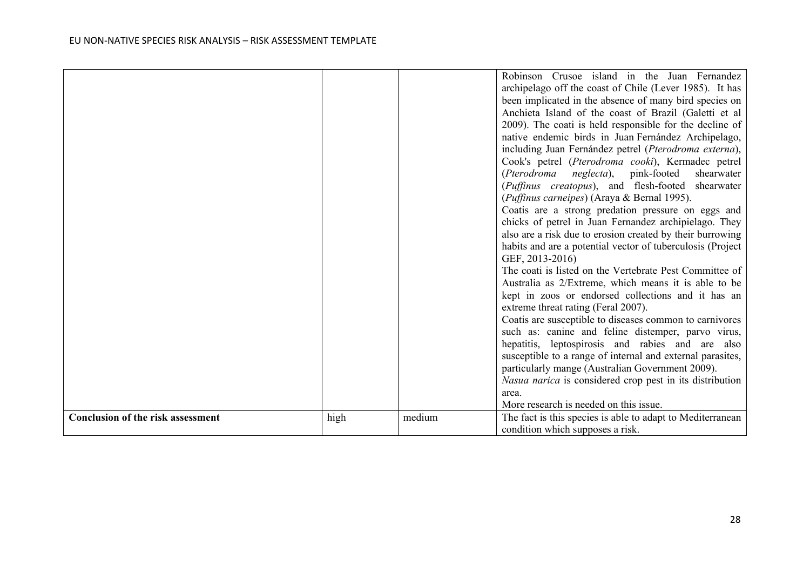|                                          |      |        | Robinson Crusoe island in the Juan Fernandez<br>archipelago off the coast of Chile (Lever 1985). It has<br>been implicated in the absence of many bird species on<br>Anchieta Island of the coast of Brazil (Galetti et al<br>2009). The coati is held responsible for the decline of<br>native endemic birds in Juan Fernández Archipelago,<br>including Juan Fernández petrel (Pterodroma externa),<br>Cook's petrel (Pterodroma cooki), Kermadec petrel<br>(Pterodroma neglecta), pink-footed<br>shearwater<br>(Puffinus creatopus), and flesh-footed shearwater<br>(Puffinus carneipes) (Araya & Bernal 1995).<br>Coatis are a strong predation pressure on eggs and<br>chicks of petrel in Juan Fernandez archipielago. They<br>also are a risk due to erosion created by their burrowing<br>habits and are a potential vector of tuberculosis (Project<br>GEF, 2013-2016)<br>The coati is listed on the Vertebrate Pest Committee of<br>Australia as 2/Extreme, which means it is able to be<br>kept in zoos or endorsed collections and it has an<br>extreme threat rating (Feral 2007).<br>Coatis are susceptible to diseases common to carnivores<br>such as: canine and feline distemper, parvo virus, |
|------------------------------------------|------|--------|------------------------------------------------------------------------------------------------------------------------------------------------------------------------------------------------------------------------------------------------------------------------------------------------------------------------------------------------------------------------------------------------------------------------------------------------------------------------------------------------------------------------------------------------------------------------------------------------------------------------------------------------------------------------------------------------------------------------------------------------------------------------------------------------------------------------------------------------------------------------------------------------------------------------------------------------------------------------------------------------------------------------------------------------------------------------------------------------------------------------------------------------------------------------------------------------------------------|
|                                          |      |        | hepatitis, leptospirosis and rabies and are also                                                                                                                                                                                                                                                                                                                                                                                                                                                                                                                                                                                                                                                                                                                                                                                                                                                                                                                                                                                                                                                                                                                                                                 |
|                                          |      |        | susceptible to a range of internal and external parasites,<br>particularly mange (Australian Government 2009).<br>Nasua narica is considered crop pest in its distribution<br>area.                                                                                                                                                                                                                                                                                                                                                                                                                                                                                                                                                                                                                                                                                                                                                                                                                                                                                                                                                                                                                              |
|                                          |      |        | More research is needed on this issue.                                                                                                                                                                                                                                                                                                                                                                                                                                                                                                                                                                                                                                                                                                                                                                                                                                                                                                                                                                                                                                                                                                                                                                           |
| <b>Conclusion of the risk assessment</b> | high | medium | The fact is this species is able to adapt to Mediterranean<br>condition which supposes a risk.                                                                                                                                                                                                                                                                                                                                                                                                                                                                                                                                                                                                                                                                                                                                                                                                                                                                                                                                                                                                                                                                                                                   |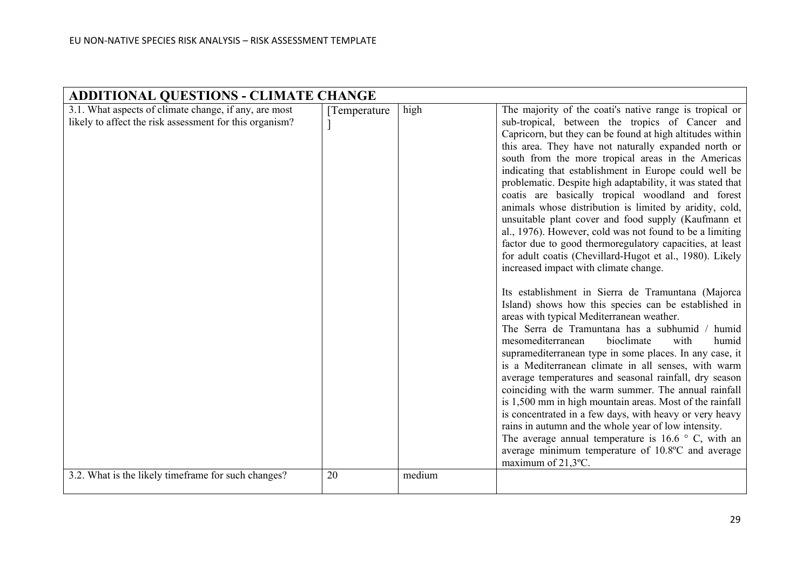| <b>ADDITIONAL QUESTIONS - CLIMATE CHANGE</b>                                                                                                                            |                     |                |                                                                                                                                                                                                                                                                                                                                                                                                                                                                                                                                                                                                                                                                                                                                                                                                                                                                                                                                                                                                                                                                                                                                                                                                                                                                                                                                                                                                                                                                                                                                                                                                                                                   |  |  |  |
|-------------------------------------------------------------------------------------------------------------------------------------------------------------------------|---------------------|----------------|---------------------------------------------------------------------------------------------------------------------------------------------------------------------------------------------------------------------------------------------------------------------------------------------------------------------------------------------------------------------------------------------------------------------------------------------------------------------------------------------------------------------------------------------------------------------------------------------------------------------------------------------------------------------------------------------------------------------------------------------------------------------------------------------------------------------------------------------------------------------------------------------------------------------------------------------------------------------------------------------------------------------------------------------------------------------------------------------------------------------------------------------------------------------------------------------------------------------------------------------------------------------------------------------------------------------------------------------------------------------------------------------------------------------------------------------------------------------------------------------------------------------------------------------------------------------------------------------------------------------------------------------------|--|--|--|
| 3.1. What aspects of climate change, if any, are most<br>likely to affect the risk assessment for this organism?<br>3.2. What is the likely timeframe for such changes? | [Temperature]<br>20 | high<br>medium | The majority of the coati's native range is tropical or<br>sub-tropical, between the tropics of Cancer and<br>Capricorn, but they can be found at high altitudes within<br>this area. They have not naturally expanded north or<br>south from the more tropical areas in the Americas<br>indicating that establishment in Europe could well be<br>problematic. Despite high adaptability, it was stated that<br>coatis are basically tropical woodland and forest<br>animals whose distribution is limited by aridity, cold,<br>unsuitable plant cover and food supply (Kaufmann et<br>al., 1976). However, cold was not found to be a limiting<br>factor due to good thermoregulatory capacities, at least<br>for adult coatis (Chevillard-Hugot et al., 1980). Likely<br>increased impact with climate change.<br>Its establishment in Sierra de Tramuntana (Majorca<br>Island) shows how this species can be established in<br>areas with typical Mediterranean weather.<br>The Serra de Tramuntana has a subhumid / humid<br>mesomediterranean<br>bioclimate<br>with<br>humid<br>supramediterranean type in some places. In any case, it<br>is a Mediterranean climate in all senses, with warm<br>average temperatures and seasonal rainfall, dry season<br>coinciding with the warm summer. The annual rainfall<br>is 1,500 mm in high mountain areas. Most of the rainfall<br>is concentrated in a few days, with heavy or very heavy<br>rains in autumn and the whole year of low intensity.<br>The average annual temperature is $16.6 \degree$ C, with an<br>average minimum temperature of 10.8°C and average<br>maximum of $21,3$ °C. |  |  |  |
|                                                                                                                                                                         |                     |                |                                                                                                                                                                                                                                                                                                                                                                                                                                                                                                                                                                                                                                                                                                                                                                                                                                                                                                                                                                                                                                                                                                                                                                                                                                                                                                                                                                                                                                                                                                                                                                                                                                                   |  |  |  |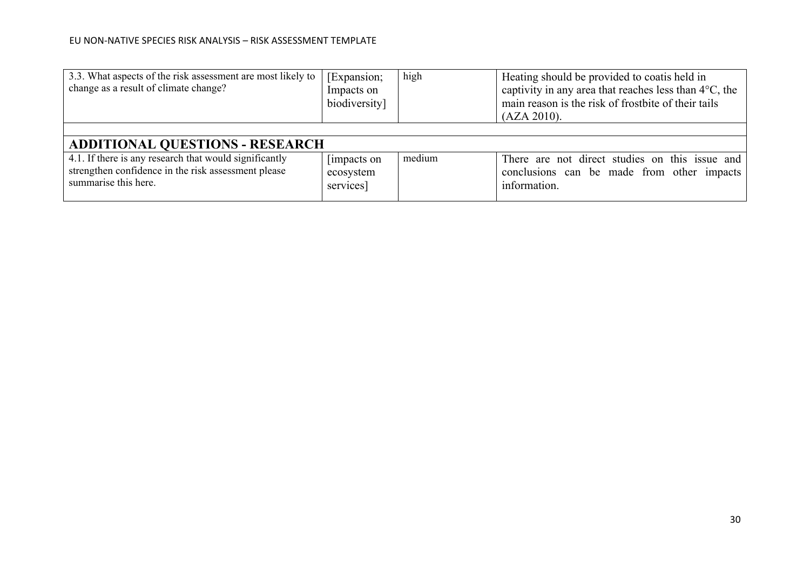| 3.3. What aspects of the risk assessment are most likely to<br>change as a result of climate change?                                  | [Expansion;<br>Impacts on<br>biodiversity] | high   | Heating should be provided to coatis held in<br>captivity in any area that reaches less than $4^{\circ}$ C, the<br>main reason is the risk of frostbite of their tails<br>(AZA 2010). |  |  |
|---------------------------------------------------------------------------------------------------------------------------------------|--------------------------------------------|--------|---------------------------------------------------------------------------------------------------------------------------------------------------------------------------------------|--|--|
|                                                                                                                                       |                                            |        |                                                                                                                                                                                       |  |  |
| <b>ADDITIONAL QUESTIONS - RESEARCH</b>                                                                                                |                                            |        |                                                                                                                                                                                       |  |  |
| 4.1. If there is any research that would significantly<br>strengthen confidence in the risk assessment please<br>summarise this here. | [impacts on]<br>ecosystem<br>services]     | medium | There are not direct studies on this issue and<br>conclusions can be made from other impacts<br>information.                                                                          |  |  |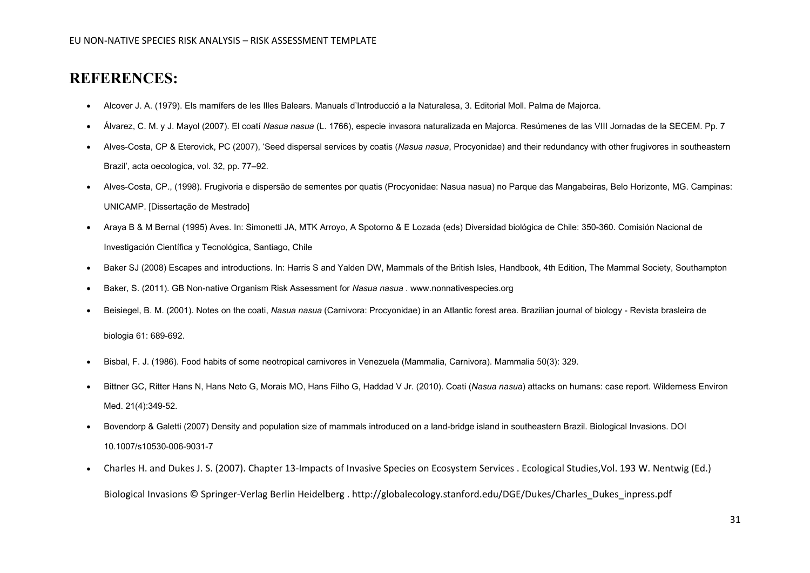## **REFERENCES:**

- Alcover J. A. (1979). Els mamífers de les Illes Balears. Manuals d'Introducció a la Naturalesa, 3. Editorial Moll. Palma de Majorca.
- Álvarez, C. M. y J. Mayol (2007). El coatí *Nasua nasua* (L. 1766), especie invasora naturalizada en Majorca. Resúmenes de las VIII Jornadas de la SECEM. Pp. 7
- Alves-Costa, CP & Eterovick, PC (2007), 'Seed dispersal services by coatis (*Nasua nasua*, Procyonidae) and their redundancy with other frugivores in southeastern Brazil', acta oecologica, vol. 32, pp. 77–92.
- Alves-Costa, CP., (1998). Frugivoria e dispersão de sementes por quatis (Procyonidae: Nasua nasua) no Parque das Mangabeiras, Belo Horizonte, MG. Campinas: UNICAMP. [Dissertação de Mestrado]
- Araya B & M Bernal (1995) Aves. In: Simonetti JA, MTK Arroyo, A Spotorno & E Lozada (eds) Diversidad biológica de Chile: 350-360. Comisión Nacional de Investigación Científica y Tecnológica, Santiago, Chile
- Baker SJ (2008) Escapes and introductions. In: Harris S and Yalden DW, Mammals of the British Isles, Handbook, 4th Edition, The Mammal Society, Southampton
- Baker, S. (2011). GB Non-native Organism Risk Assessment for *Nasua nasua* [. www.nonnativespecies.org](http://www.nonnativespecies.org/)
- Beisiegel, B. M. (2001). Notes on the coati, *Nasua nasua* (Carnivora: Procyonidae) in an Atlantic forest area. Brazilian journal of biology Revista brasleira de

biologia 61: 689-692.

- Bisbal, F. J. (1986). Food habits of some neotropical carnivores in Venezuela (Mammalia, Carnivora). Mammalia 50(3): 329.
- [Bittner GC,](http://www.ncbi.nlm.nih.gov/pubmed/?term=Bittner%20GC%5BAuthor%5D&cauthor=true&cauthor_uid=21168789) [Ritter Hans N,](http://www.ncbi.nlm.nih.gov/pubmed/?term=Ritter%20Hans%20N%5BAuthor%5D&cauthor=true&cauthor_uid=21168789) [Hans Neto G,](http://www.ncbi.nlm.nih.gov/pubmed/?term=Hans%20Neto%20G%5BAuthor%5D&cauthor=true&cauthor_uid=21168789) [Morais MO,](http://www.ncbi.nlm.nih.gov/pubmed/?term=Morais%20MO%5BAuthor%5D&cauthor=true&cauthor_uid=21168789) [Hans Filho G,](http://www.ncbi.nlm.nih.gov/pubmed/?term=Hans%20Filho%20G%5BAuthor%5D&cauthor=true&cauthor_uid=21168789) [Haddad V Jr.](http://www.ncbi.nlm.nih.gov/pubmed/?term=Haddad%20V%20Jr%5BAuthor%5D&cauthor=true&cauthor_uid=21168789) (2010). Coati (*Nasua nasua*) attacks on humans: case report. [Wilderness Environ](http://www.ncbi.nlm.nih.gov/pubmed/21168789)  [Med.](http://www.ncbi.nlm.nih.gov/pubmed/21168789) 21(4):349-52.
- Bovendorp & Galetti (2007) Density and population size of mammals introduced on a land-bridge island in southeastern Brazil. Biological Invasions. DOI 10.1007/s10530-006-9031-7
- Charles H. and Dukes J. S. (2007). Chapter 13-Impacts of Invasive Species on Ecosystem Services . Ecological Studies,Vol. 193 W. Nentwig (Ed.)

Biological Invasions © Springer-Verlag Berlin Heidelberg . http://globalecology.stanford.edu/DGE/Dukes/Charles\_Dukes\_inpress.pdf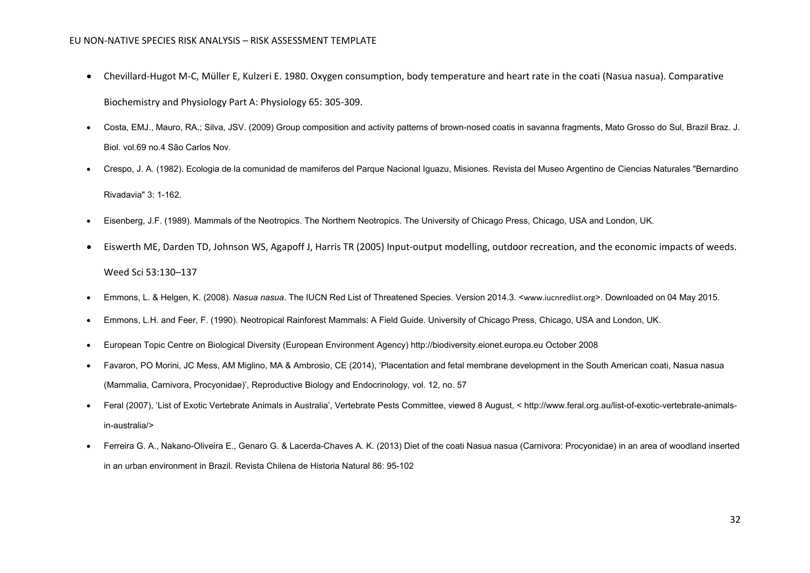- Chevillard-Hugot M-C, Müller E, Kulzeri E. 1980. Oxygen consumption, body temperature and heart rate in the coati (Nasua nasua). Comparative Biochemistry and Physiology Part A: Physiology 65: 305-309.
- Costa, EMJ., Mauro, RA.; Silva, JSV. (2009) Group composition and activity patterns of brown-nosed coatis in savanna fragments, Mato Grosso do Sul, Brazil Braz. J. Biol. vol.69 no.4 São Carlos Nov.
- Crespo, J. A. (1982). Ecologia de la comunidad de mamiferos del Parque Nacional Iguazu, Misiones. Revista del Museo Argentino de Ciencias Naturales "Bernardino

Rivadavia" 3: 1-162.

- Eisenberg, J.F. (1989). Mammals of the Neotropics. The Northern Neotropics. The University of Chicago Press, Chicago, USA and London, UK.
- Eiswerth ME, Darden TD, Johnson WS, Agapoff J, Harris TR (2005) Input-output modelling, outdoor recreation, and the economic impacts of weeds. Weed Sci 53:130–137
- Emmons, L. & Helgen, K. (2008). *Nasua nasua*. The IUCN Red List of Threatened Species. Version 2014.3. <[www.iucnredlist.org](http://www.iucnredlist.org/)>. Downloaded on 04 May 2015.
- Emmons, L.H. and Feer, F. (1990). Neotropical Rainforest Mammals: A Field Guide. University of Chicago Press, Chicago, USA and London, UK.
- European Topic Centre on Biological Diversity (European Environment Agency) http://biodiversity.eionet.europa.eu October 2008
- Favaron, PO Morini, JC Mess, AM Miglino, MA & Ambrosio, CE (2014), 'Placentation and fetal membrane development in the South American coati, Nasua nasua (Mammalia, Carnivora, Procyonidae)', Reproductive Biology and Endocrinology, vol. 12, no. 57
- Feral (2007), 'List of Exotic Vertebrate Animals in Australia', Vertebrate Pests Committee, viewed 8 August, < [http://www.feral.org.au/list-of-exotic-vertebrate-animals](http://www.feral.org.au/list-of-exotic-vertebrate-animals-in-australia/)[in-australia/>](http://www.feral.org.au/list-of-exotic-vertebrate-animals-in-australia/)
- Ferreira G. A., Nakano-Oliveira E., Genaro G. & Lacerda-Chaves A. K. (2013) Diet of the coati Nasua nasua (Carnivora: Procyonidae) in an area of woodland inserted in an urban environment in Brazil. Revista Chilena de Historia Natural 86: 95-102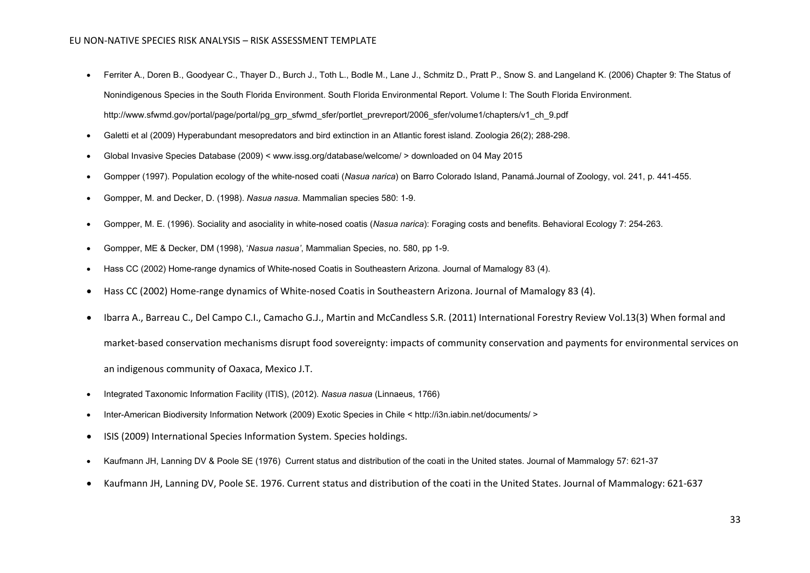- Ferriter A., Doren B., Goodyear C., Thayer D., Burch J., Toth L., Bodle M., Lane J., Schmitz D., Pratt P., Snow S. and Langeland K. (2006) Chapter 9: The Status of Nonindigenous Species in the South Florida Environment. South Florida Environmental Report. Volume I: The South Florida Environment. [http://www.sfwmd.gov/portal/page/portal/pg\\_grp\\_sfwmd\\_sfer/portlet\\_prevreport/2006\\_sfer/volume1/chapters/v1\\_ch\\_9.pdf](http://www.sfwmd.gov/portal/page/portal/pg_grp_sfwmd_sfer/portlet_prevreport/2006_sfer/volume1/chapters/v1_ch_9.pdf)
- Galetti et al (2009) Hyperabundant mesopredators and bird extinction in an Atlantic forest island. Zoologia 26(2); 288-298.
- Global Invasive Species Database (2009) < www.issg.org/database/welcome/ > downloaded on 04 May 2015
- Gompper (1997). Population ecology of the white-nosed coati (*Nasua narica*) on Barro Colorado Island, Panamá.Journal of Zoology, vol. 241, p. 441-455.
- Gompper, M. and Decker, D. (1998). *Nasua nasua*. Mammalian species 580: 1-9.
- Gompper, M. E. (1996). Sociality and asociality in white-nosed coatis (*Nasua narica*): Foraging costs and benefits. Behavioral Ecology 7: 254-263.
- Gompper, ME & Decker, DM (1998), '*Nasua nasua'*, Mammalian Species, no. 580, pp 1-9.
- Hass CC (2002) Home-range dynamics of White-nosed Coatis in Southeastern Arizona. Journal of Mamalogy 83 (4).
- Hass CC (2002) Home-range dynamics of White-nosed Coatis in Southeastern Arizona. Journal of Mamalogy 83 (4).
- Ibarra A., Barreau C., Del Campo C.I., Camacho G.J., Martin and McCandless S.R. (2011) International Forestry Review Vol.13(3) When formal and market-based conservation mechanisms disrupt food sovereignty: impacts of community conservation and payments for environmental services on an indigenous community of Oaxaca, Mexico J.T.
- [Integrated Taxonomic Information Facility \(ITIS\), \(2012\).](http://www.itis.gov/servlet/SingleRpt/SingleRpt?search_topic=TSN&search_value=180579) *Nasua nasua* (Linnaeus, 1766)
- Inter-American Biodiversity Information Network (2009) Exotic Species in Chile < http://i3n.iabin.net/documents/ >
- ISIS (2009) International Species Information System. Species holdings.
- Kaufmann JH, Lanning DV & Poole SE (1976) Current status and distribution of the coati in the United states. Journal of Mammalogy 57: 621-37
- Kaufmann JH, Lanning DV, Poole SE. 1976. Current status and distribution of the coati in the United States. Journal of Mammalogy: 621-637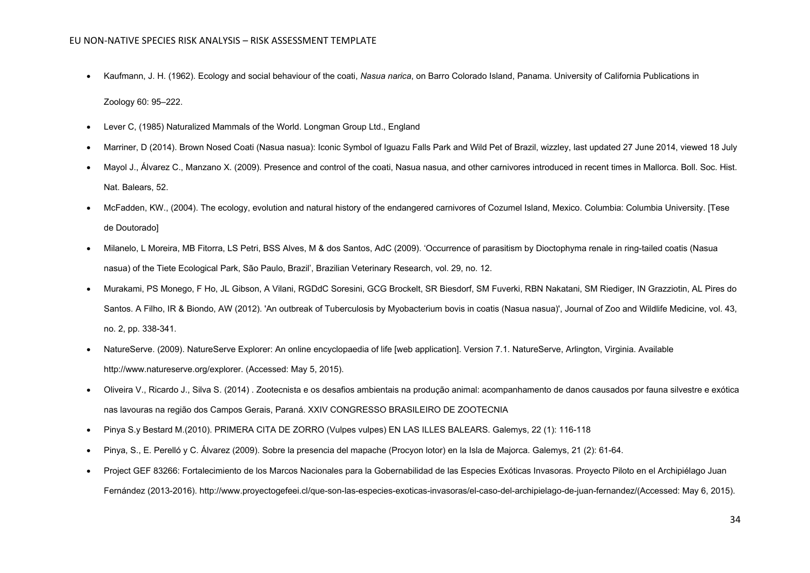• Kaufmann, J. H. (1962). Ecology and social behaviour of the coati, *Nasua narica*, on Barro Colorado Island, Panama. University of California Publications in

Zoology 60: 95–222.

- Lever C, (1985) Naturalized Mammals of the World. Longman Group Ltd., England
- Marriner, D (2014). Brown Nosed Coati (Nasua nasua): Iconic Symbol of Iguazu Falls Park and Wild Pet of Brazil, wizzley, last updated 27 June 2014, viewed 18 July
- Mayol J., Álvarez C., Manzano X. (2009). Presence and control of the coati, Nasua nasua, and other carnivores introduced in recent times in Mallorca. Boll. Soc. Hist. Nat. Balears, 52.
- McFadden, KW., (2004). The ecology, evolution and natural history of the endangered carnivores of Cozumel Island, Mexico. Columbia: Columbia University. [Tese de Doutorado]
- Milanelo, L Moreira, MB Fitorra, LS Petri, BSS Alves, M & dos Santos, AdC (2009). 'Occurrence of parasitism by Dioctophyma renale in ring-tailed coatis (Nasua nasua) of the Tiete Ecological Park, São Paulo, Brazil', Brazilian Veterinary Research, vol. 29, no. 12.
- Murakami, PS Monego, F Ho, JL Gibson, A Vilani, RGDdC Soresini, GCG Brockelt, SR Biesdorf, SM Fuverki, RBN Nakatani, SM Riediger, IN Grazziotin, AL Pires do Santos. A Filho, IR & Biondo, AW (2012). 'An outbreak of Tuberculosis by Myobacterium bovis in coatis (Nasua nasua)', Journal of Zoo and Wildlife Medicine, vol. 43, no. 2, pp. 338-341.
- NatureServe. (2009). NatureServe Explorer: An online encyclopaedia of life [web application]. Version 7.1. NatureServe, Arlington, Virginia. Available http://www.natureserve.org/explorer. (Accessed: May 5, 2015).
- Oliveira V., Ricardo J., Silva S. (2014) . Zootecnista e os desafios ambientais na produção animal: acompanhamento de danos causados por fauna silvestre e exótica nas lavouras na região dos Campos Gerais, Paraná. XXIV CONGRESSO BRASILEIRO DE ZOOTECNIA
- Pinya S.y Bestard M.(2010). PRIMERA CITA DE ZORRO (Vulpes vulpes) EN LAS ILLES BALEARS. Galemys, 22 (1): 116-118
- Pinya, S., E. Perelló y C. Álvarez (2009). Sobre la presencia del mapache (Procyon lotor) en la Isla de Majorca. Galemys, 21 (2): 61-64.
- Project GEF 83266: Fortalecimiento de los Marcos Nacionales para la Gobernabilidad de las Especies Exóticas Invasoras. Proyecto Piloto en el Archipiélago Juan Fernández (2013-2016). http://www.proyectogefeei.cl/que-son-las-especies-exoticas-invasoras/el-caso-del-archipielago-de-juan-fernandez/(Accessed: May 6, 2015).